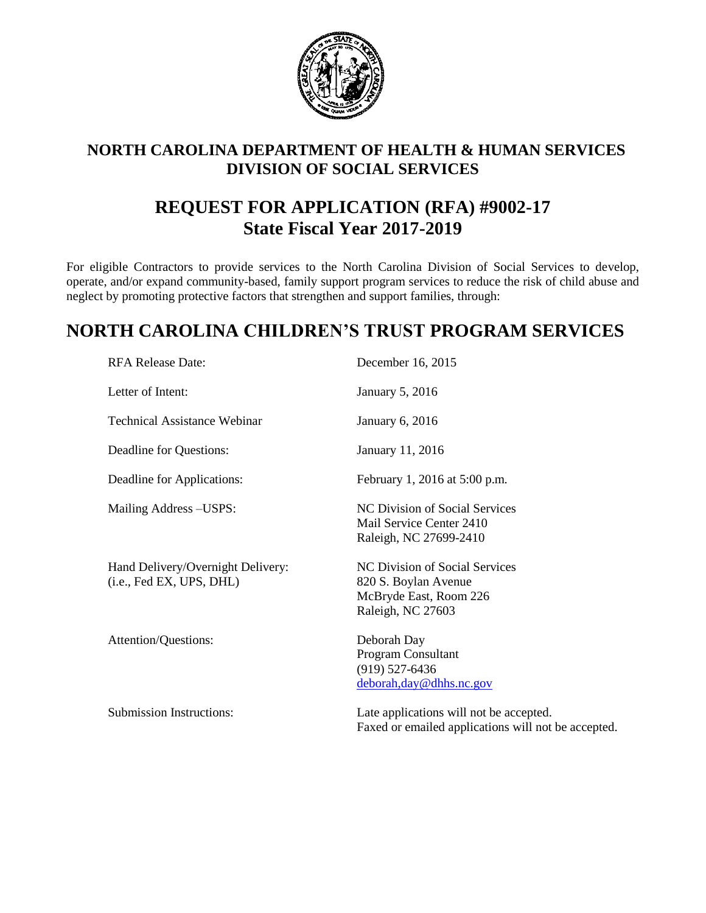

# **NORTH CAROLINA DEPARTMENT OF HEALTH & HUMAN SERVICES DIVISION OF SOCIAL SERVICES**

# **REQUEST FOR APPLICATION (RFA) #9002-17 State Fiscal Year 2017-2019**

For eligible Contractors to provide services to the North Carolina Division of Social Services to develop, operate, and/or expand community-based, family support program services to reduce the risk of child abuse and neglect by promoting protective factors that strengthen and support families, through:

# **NORTH CAROLINA CHILDREN'S TRUST PROGRAM SERVICES**

| <b>RFA Release Date:</b>                                      | December 16, 2015                                                                                     |
|---------------------------------------------------------------|-------------------------------------------------------------------------------------------------------|
| Letter of Intent:                                             | January 5, 2016                                                                                       |
| <b>Technical Assistance Webinar</b>                           | January 6, 2016                                                                                       |
| Deadline for Questions:                                       | January 11, 2016                                                                                      |
| Deadline for Applications:                                    | February 1, 2016 at 5:00 p.m.                                                                         |
| Mailing Address – USPS:                                       | NC Division of Social Services<br>Mail Service Center 2410<br>Raleigh, NC 27699-2410                  |
| Hand Delivery/Overnight Delivery:<br>(i.e., Fed EX, UPS, DHL) | NC Division of Social Services<br>820 S. Boylan Avenue<br>McBryde East, Room 226<br>Raleigh, NC 27603 |
| Attention/Questions:                                          | Deborah Day<br>Program Consultant<br>$(919)$ 527-6436<br>deborah, day @dhhs.nc.gov                    |
| <b>Submission Instructions:</b>                               | Late applications will not be accepted.<br>Faxed or emailed applications will not be accepted.        |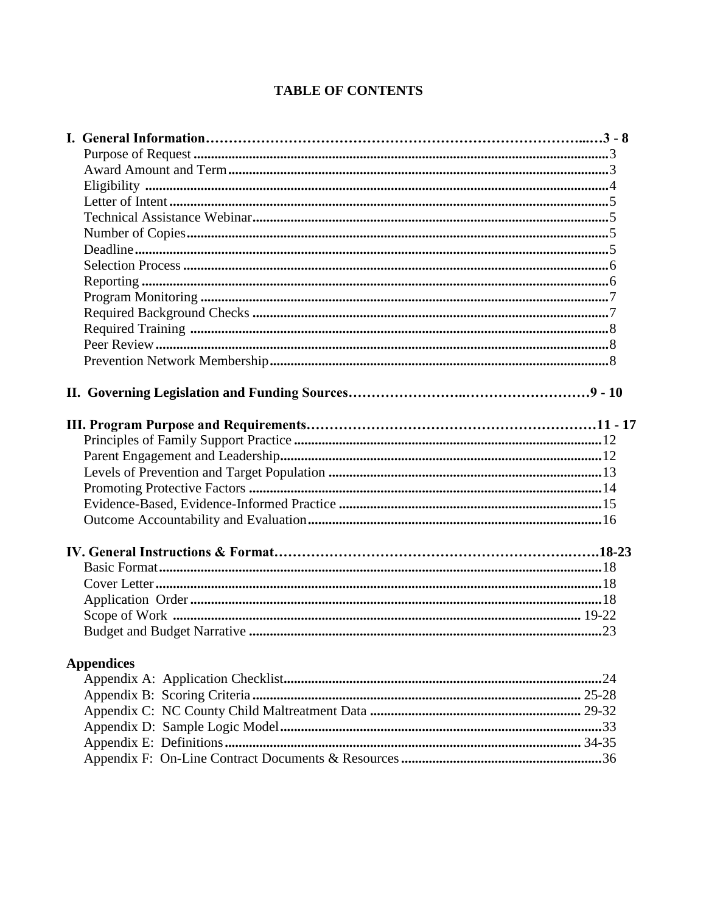## **TABLE OF CONTENTS**

| <b>Appendices</b> |  |
|-------------------|--|
|                   |  |
|                   |  |
|                   |  |
|                   |  |
|                   |  |
|                   |  |
|                   |  |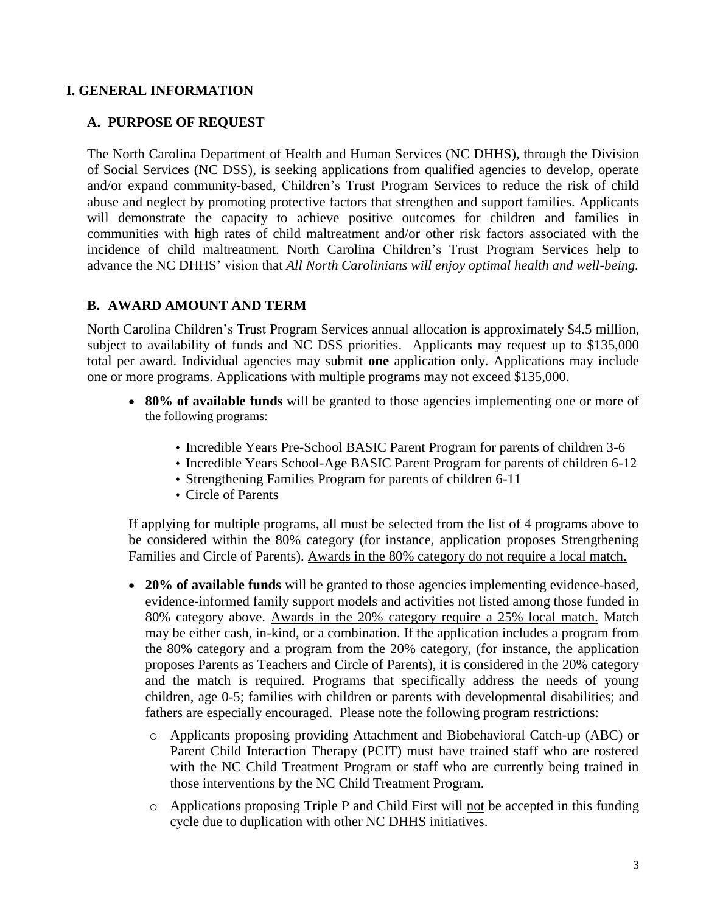## **I. GENERAL INFORMATION**

### **A. PURPOSE OF REQUEST**

The North Carolina Department of Health and Human Services (NC DHHS), through the Division of Social Services (NC DSS), is seeking applications from qualified agencies to develop, operate and/or expand community-based, Children's Trust Program Services to reduce the risk of child abuse and neglect by promoting protective factors that strengthen and support families. Applicants will demonstrate the capacity to achieve positive outcomes for children and families in communities with high rates of child maltreatment and/or other risk factors associated with the incidence of child maltreatment. North Carolina Children's Trust Program Services help to advance the NC DHHS' vision that *All North Carolinians will enjoy optimal health and well-being.*

## **B. AWARD AMOUNT AND TERM**

North Carolina Children's Trust Program Services annual allocation is approximately \$4.5 million, subject to availability of funds and NC DSS priorities. Applicants may request up to \$135,000 total per award. Individual agencies may submit **one** application only. Applications may include one or more programs. Applications with multiple programs may not exceed \$135,000.

- **80% of available funds** will be granted to those agencies implementing one or more of the following programs:
	- Incredible Years Pre-School BASIC Parent Program for parents of children 3-6
	- Incredible Years School-Age BASIC Parent Program for parents of children 6-12
	- Strengthening Families Program for parents of children 6-11
	- Circle of Parents

If applying for multiple programs, all must be selected from the list of 4 programs above to be considered within the 80% category (for instance, application proposes Strengthening Families and Circle of Parents). Awards in the 80% category do not require a local match.

- **20% of available funds** will be granted to those agencies implementing evidence-based, evidence-informed family support models and activities not listed among those funded in 80% category above. Awards in the 20% category require a 25% local match. Match may be either cash, in-kind, or a combination. If the application includes a program from the 80% category and a program from the 20% category, (for instance, the application proposes Parents as Teachers and Circle of Parents), it is considered in the 20% category and the match is required. Programs that specifically address the needs of young children, age 0-5; families with children or parents with developmental disabilities; and fathers are especially encouraged. Please note the following program restrictions:
	- o Applicants proposing providing Attachment and Biobehavioral Catch-up (ABC) or Parent Child Interaction Therapy (PCIT) must have trained staff who are rostered with the NC Child Treatment Program or staff who are currently being trained in those interventions by the NC Child Treatment Program.
	- $\circ$  Applications proposing Triple P and Child First will not be accepted in this funding cycle due to duplication with other NC DHHS initiatives.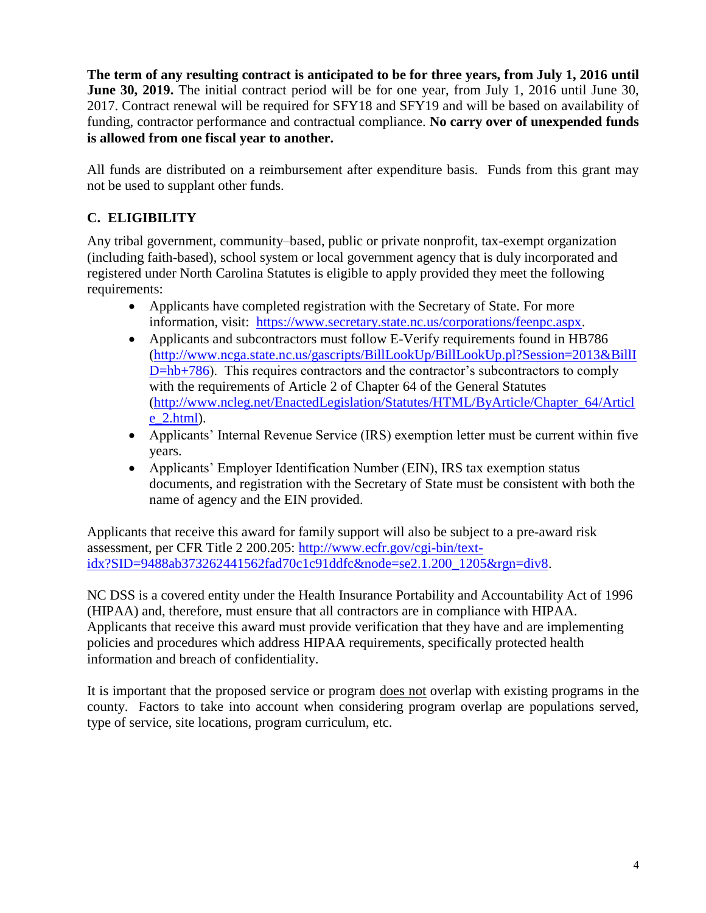**The term of any resulting contract is anticipated to be for three years, from July 1, 2016 until June 30, 2019.** The initial contract period will be for one year, from July 1, 2016 until June 30, 2017. Contract renewal will be required for SFY18 and SFY19 and will be based on availability of funding, contractor performance and contractual compliance. **No carry over of unexpended funds is allowed from one fiscal year to another.** 

All funds are distributed on a reimbursement after expenditure basis. Funds from this grant may not be used to supplant other funds.

## **C. ELIGIBILITY**

Any tribal government, community–based, public or private nonprofit, tax-exempt organization (including faith-based), school system or local government agency that is duly incorporated and registered under North Carolina Statutes is eligible to apply provided they meet the following requirements:

- Applicants have completed registration with the Secretary of State. For more information, visit: [https://www.secretary.state.nc.us/corporations/feenpc.aspx.](https://www.secretary.state.nc.us/corporations/feenpc.aspx)
- Applicants and subcontractors must follow E-Verify requirements found in HB786 [\(http://www.ncga.state.nc.us/gascripts/BillLookUp/BillLookUp.pl?Session=2013&BillI](http://www.ncga.state.nc.us/gascripts/BillLookUp/BillLookUp.pl?Session=2013&BillID=hb+786) [D=hb+786\)](http://www.ncga.state.nc.us/gascripts/BillLookUp/BillLookUp.pl?Session=2013&BillID=hb+786). This requires contractors and the contractor's subcontractors to comply with the requirements of Article 2 of Chapter 64 of the General Statutes [\(http://www.ncleg.net/EnactedLegislation/Statutes/HTML/ByArticle/Chapter\\_64/Articl](http://www.ncleg.net/EnactedLegislation/Statutes/HTML/ByArticle/Chapter_64/Article_2.html) [e\\_2.html\)](http://www.ncleg.net/EnactedLegislation/Statutes/HTML/ByArticle/Chapter_64/Article_2.html).
- Applicants' Internal Revenue Service (IRS) exemption letter must be current within five years.
- Applicants' Employer Identification Number (EIN), IRS tax exemption status documents, and registration with the Secretary of State must be consistent with both the name of agency and the EIN provided.

Applicants that receive this award for family support will also be subject to a pre-award risk assessment, per CFR Title 2 200.205: [http://www.ecfr.gov/cgi-bin/text](http://www.ecfr.gov/cgi-bin/text-idx?SID=9488ab373262441562fad70c1c91ddfc&node=se2.1.200_1205&rgn=div8)[idx?SID=9488ab373262441562fad70c1c91ddfc&node=se2.1.200\\_1205&rgn=div8.](http://www.ecfr.gov/cgi-bin/text-idx?SID=9488ab373262441562fad70c1c91ddfc&node=se2.1.200_1205&rgn=div8)

NC DSS is a covered entity under the Health Insurance Portability and Accountability Act of 1996 (HIPAA) and, therefore, must ensure that all contractors are in compliance with HIPAA. Applicants that receive this award must provide verification that they have and are implementing policies and procedures which address HIPAA requirements, specifically protected health information and breach of confidentiality.

It is important that the proposed service or program does not overlap with existing programs in the county. Factors to take into account when considering program overlap are populations served, type of service, site locations, program curriculum, etc.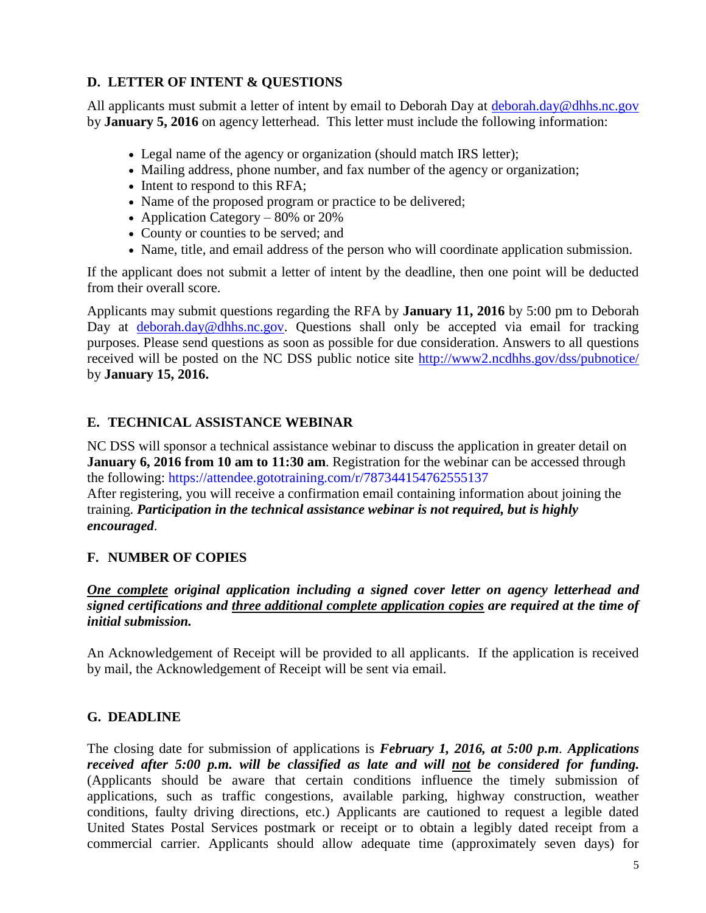## **D. LETTER OF INTENT & QUESTIONS**

All applicants must submit a letter of intent by email to Deborah Day at [deborah.day@dhhs.nc.gov](mailto:deborah.day@dhhs.nc.gov) by **January 5, 2016** on agency letterhead. This letter must include the following information:

- Legal name of the agency or organization (should match IRS letter);
- Mailing address, phone number, and fax number of the agency or organization;
- Intent to respond to this RFA;
- Name of the proposed program or practice to be delivered;
- Application Category 80% or 20%
- County or counties to be served; and
- Name, title, and email address of the person who will coordinate application submission.

If the applicant does not submit a letter of intent by the deadline, then one point will be deducted from their overall score.

Applicants may submit questions regarding the RFA by **January 11, 2016** by 5:00 pm to Deborah Day at [deborah.day@dhhs.nc.gov.](mailto:deborah.day@dhhs.nc.gov) Questions shall only be accepted via email for tracking purposes. Please send questions as soon as possible for due consideration. Answers to all questions received will be posted on the NC DSS public notice site<http://www2.ncdhhs.gov/dss/pubnotice/> by **January 15, 2016.**

## **E. TECHNICAL ASSISTANCE WEBINAR**

NC DSS will sponsor a technical assistance webinar to discuss the application in greater detail on **January 6, 2016 from 10 am to 11:30 am**. Registration for the webinar can be accessed through the following: <https://attendee.gototraining.com/r/787344154762555137>

After registering, you will receive a confirmation email containing information about joining the training. *Participation in the technical assistance webinar is not required, but is highly encouraged*.

## **F. NUMBER OF COPIES**

## *One complete original application including a signed cover letter on agency letterhead and signed certifications and three additional complete application copies are required at the time of initial submission.*

An Acknowledgement of Receipt will be provided to all applicants. If the application is received by mail, the Acknowledgement of Receipt will be sent via email.

## **G. DEADLINE**

The closing date for submission of applications is *February 1, 2016, at 5:00 p.m. Applications received after 5:00 p.m. will be classified as late and will not be considered for funding.* (Applicants should be aware that certain conditions influence the timely submission of applications, such as traffic congestions, available parking, highway construction, weather conditions, faulty driving directions, etc.) Applicants are cautioned to request a legible dated United States Postal Services postmark or receipt or to obtain a legibly dated receipt from a commercial carrier. Applicants should allow adequate time (approximately seven days) for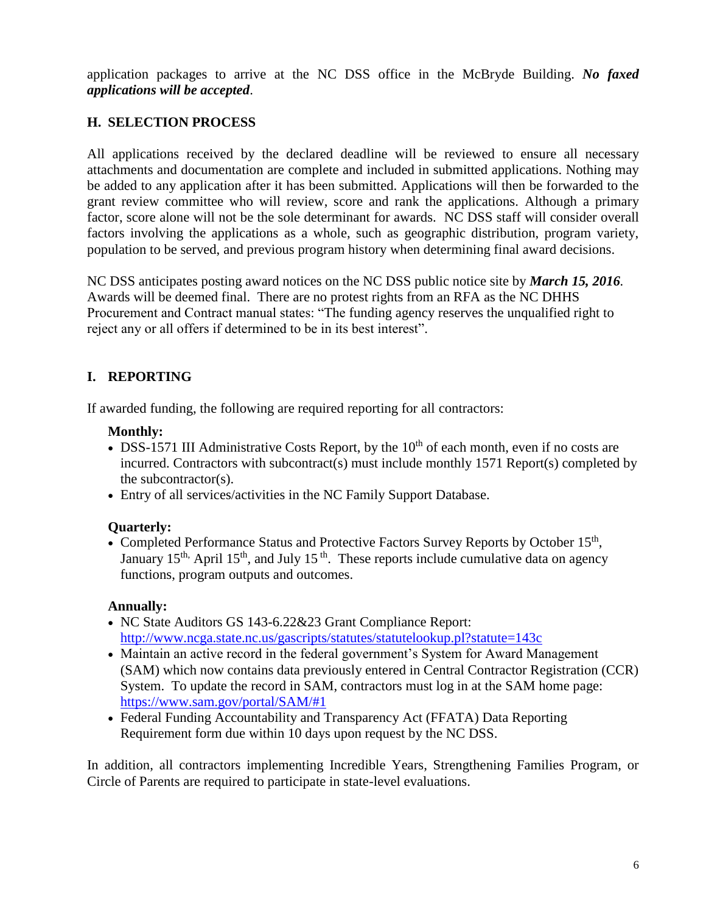application packages to arrive at the NC DSS office in the McBryde Building. *No faxed applications will be accepted*.

## **H. SELECTION PROCESS**

All applications received by the declared deadline will be reviewed to ensure all necessary attachments and documentation are complete and included in submitted applications. Nothing may be added to any application after it has been submitted. Applications will then be forwarded to the grant review committee who will review, score and rank the applications. Although a primary factor, score alone will not be the sole determinant for awards. NC DSS staff will consider overall factors involving the applications as a whole, such as geographic distribution, program variety, population to be served, and previous program history when determining final award decisions.

NC DSS anticipates posting award notices on the NC DSS public notice site by *March 15, 2016.* Awards will be deemed final. There are no protest rights from an RFA as the NC DHHS Procurement and Contract manual states: "The funding agency reserves the unqualified right to reject any or all offers if determined to be in its best interest".

## **I. REPORTING**

If awarded funding, the following are required reporting for all contractors:

### **Monthly:**

- DSS-1571 III Administrative Costs Report, by the  $10<sup>th</sup>$  of each month, even if no costs are incurred. Contractors with subcontract(s) must include monthly 1571 Report(s) completed by the subcontractor(s).
- Entry of all services/activities in the NC Family Support Database.

## **Quarterly:**

• Completed Performance Status and Protective Factors Survey Reports by October 15<sup>th</sup>, January 15<sup>th,</sup> April 15<sup>th</sup>, and July 15<sup>th</sup>. These reports include cumulative data on agency functions, program outputs and outcomes.

## **Annually:**

- NC State Auditors GS 143-6.22&23 Grant Compliance Report: <http://www.ncga.state.nc.us/gascripts/statutes/statutelookup.pl?statute=143c>
- Maintain an active record in the federal government's System for Award Management (SAM) which now contains data previously entered in Central Contractor Registration (CCR) System. To update the record in SAM, contractors must log in at the SAM home page: [https://www.sam.gov/portal/SAM/#1](https://www.sam.gov/portal/SAM/%231)
- Federal Funding Accountability and Transparency Act (FFATA) Data Reporting Requirement form due within 10 days upon request by the NC DSS.

In addition, all contractors implementing Incredible Years, Strengthening Families Program, or Circle of Parents are required to participate in state-level evaluations.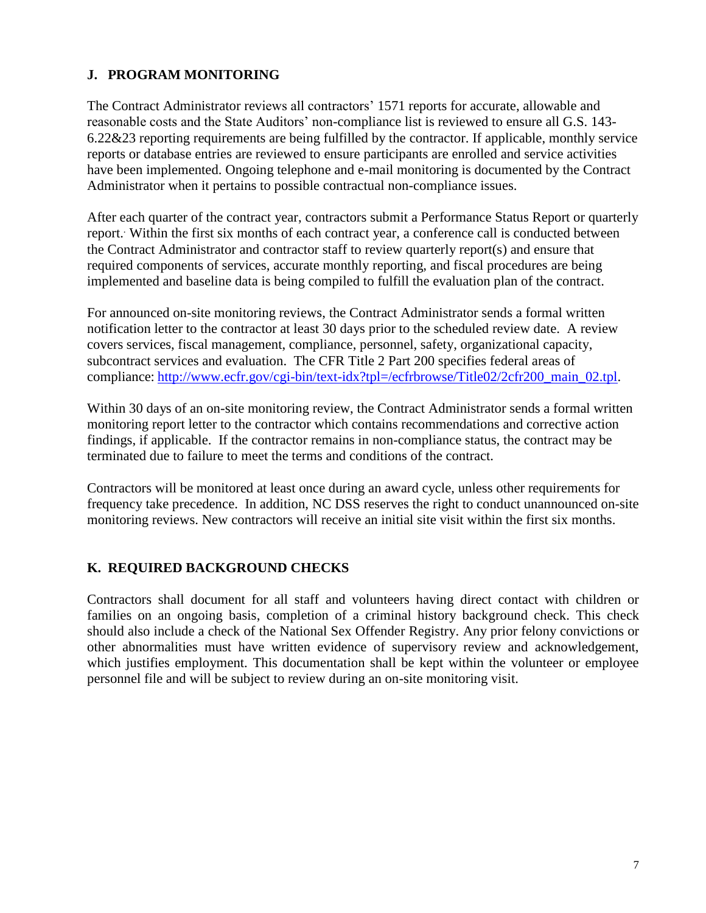## **J. PROGRAM MONITORING**

The Contract Administrator reviews all contractors' 1571 reports for accurate, allowable and reasonable costs and the State Auditors' non-compliance list is reviewed to ensure all G.S. 143- 6.22&23 reporting requirements are being fulfilled by the contractor. If applicable, monthly service reports or database entries are reviewed to ensure participants are enrolled and service activities have been implemented. Ongoing telephone and e-mail monitoring is documented by the Contract Administrator when it pertains to possible contractual non-compliance issues.

After each quarter of the contract year, contractors submit a Performance Status Report or quarterly report. . Within the first six months of each contract year, a conference call is conducted between the Contract Administrator and contractor staff to review quarterly report(s) and ensure that required components of services, accurate monthly reporting, and fiscal procedures are being implemented and baseline data is being compiled to fulfill the evaluation plan of the contract.

For announced on-site monitoring reviews, the Contract Administrator sends a formal written notification letter to the contractor at least 30 days prior to the scheduled review date. A review covers services, fiscal management, compliance, personnel, safety, organizational capacity, subcontract services and evaluation. The CFR Title 2 Part 200 specifies federal areas of compliance: [http://www.ecfr.gov/cgi-bin/text-idx?tpl=/ecfrbrowse/Title02/2cfr200\\_main\\_02.tpl.](http://www.ecfr.gov/cgi-bin/text-idx?tpl=/ecfrbrowse/Title02/2cfr200_main_02.tpl)

Within 30 days of an on-site monitoring review, the Contract Administrator sends a formal written monitoring report letter to the contractor which contains recommendations and corrective action findings, if applicable. If the contractor remains in non-compliance status, the contract may be terminated due to failure to meet the terms and conditions of the contract.

Contractors will be monitored at least once during an award cycle, unless other requirements for frequency take precedence. In addition, NC DSS reserves the right to conduct unannounced on-site monitoring reviews. New contractors will receive an initial site visit within the first six months.

## **K. REQUIRED BACKGROUND CHECKS**

Contractors shall document for all staff and volunteers having direct contact with children or families on an ongoing basis, completion of a criminal history background check. This check should also include a check of the National Sex Offender Registry. Any prior felony convictions or other abnormalities must have written evidence of supervisory review and acknowledgement, which justifies employment. This documentation shall be kept within the volunteer or employee personnel file and will be subject to review during an on-site monitoring visit.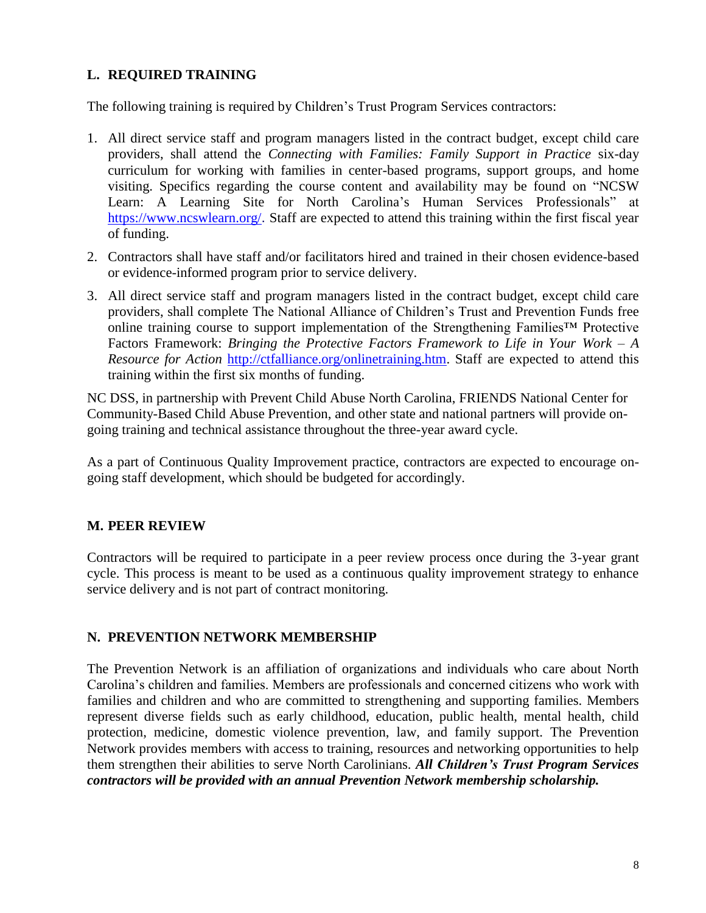## **L. REQUIRED TRAINING**

The following training is required by Children's Trust Program Services contractors:

- 1. All direct service staff and program managers listed in the contract budget, except child care providers, shall attend the *Connecting with Families: Family Support in Practice* six-day curriculum for working with families in center-based programs, support groups, and home visiting. Specifics regarding the course content and availability may be found on "NCSW Learn: A Learning Site for North Carolina's Human Services Professionals" at <https://www.ncswlearn.org/>. Staff are expected to attend this training within the first fiscal year of funding.
- 2. Contractors shall have staff and/or facilitators hired and trained in their chosen evidence-based or evidence-informed program prior to service delivery.
- 3. All direct service staff and program managers listed in the contract budget, except child care providers, shall complete The National Alliance of Children's Trust and Prevention Funds free online training course to support implementation of the Strengthening Families™ Protective Factors Framework: *Bringing the Protective Factors Framework to Life in Your Work – A Resource for Action* [http://ctfalliance.org/onlinetraining.htm.](http://ctfalliance.org/onlinetraining.htm) Staff are expected to attend this training within the first six months of funding.

NC DSS, in partnership with Prevent Child Abuse North Carolina, FRIENDS National Center for Community-Based Child Abuse Prevention, and other state and national partners will provide ongoing training and technical assistance throughout the three-year award cycle.

As a part of Continuous Quality Improvement practice, contractors are expected to encourage ongoing staff development, which should be budgeted for accordingly.

## **M. PEER REVIEW**

Contractors will be required to participate in a peer review process once during the 3-year grant cycle. This process is meant to be used as a continuous quality improvement strategy to enhance service delivery and is not part of contract monitoring.

## **N. PREVENTION NETWORK MEMBERSHIP**

The Prevention Network is an affiliation of organizations and individuals who care about North Carolina's children and families. Members are professionals and concerned citizens who work with families and children and who are committed to strengthening and supporting families. Members represent diverse fields such as early childhood, education, public health, mental health, child protection, medicine, domestic violence prevention, law, and family support. The Prevention Network provides members with access to training, resources and networking opportunities to help them strengthen their abilities to serve North Carolinians. *All Children's Trust Program Services contractors will be provided with an annual Prevention Network membership scholarship.*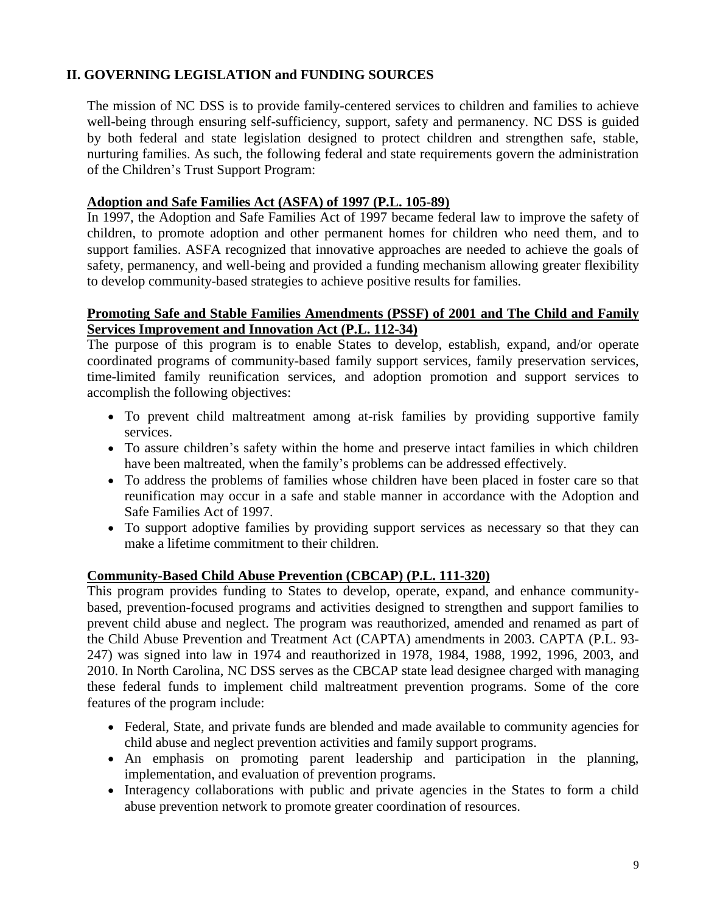## **II. GOVERNING LEGISLATION and FUNDING SOURCES**

The mission of NC DSS is to provide family-centered services to children and families to achieve well-being through ensuring self-sufficiency, support, safety and permanency. NC DSS is guided by both federal and state legislation designed to protect children and strengthen safe, stable, nurturing families. As such, the following federal and state requirements govern the administration of the Children's Trust Support Program:

### **Adoption and Safe Families Act (ASFA) of 1997 (P.L. 105-89)**

In 1997, the Adoption and Safe Families Act of 1997 became federal law to improve the safety of children, to promote adoption and other permanent homes for children who need them, and to support families. ASFA recognized that innovative approaches are needed to achieve the goals of safety, permanency, and well-being and provided a funding mechanism allowing greater flexibility to develop community-based strategies to achieve positive results for families.

### **Promoting Safe and Stable Families Amendments (PSSF) of 2001 and The Child and Family Services Improvement and Innovation Act (P.L. 112-34)**

The purpose of this program is to enable States to develop, establish, expand, and/or operate coordinated programs of community-based family support services, family preservation services, time-limited family reunification services, and adoption promotion and support services to accomplish the following objectives:

- To prevent child maltreatment among at-risk families by providing supportive family services.
- To assure children's safety within the home and preserve intact families in which children have been maltreated, when the family's problems can be addressed effectively.
- To address the problems of families whose children have been placed in foster care so that reunification may occur in a safe and stable manner in accordance with the Adoption and Safe Families Act of 1997.
- To support adoptive families by providing support services as necessary so that they can make a lifetime commitment to their children.

## **Community-Based Child Abuse Prevention (CBCAP) (P.L. 111-320)**

This program provides funding to States to develop, operate, expand, and enhance communitybased, prevention-focused programs and activities designed to strengthen and support families to prevent child abuse and neglect. The program was reauthorized, amended and renamed as part of the Child Abuse Prevention and Treatment Act (CAPTA) amendments in 2003. CAPTA (P.L. 93- 247) was signed into law in 1974 and reauthorized in 1978, 1984, 1988, 1992, 1996, 2003, and 2010. In North Carolina, NC DSS serves as the CBCAP state lead designee charged with managing these federal funds to implement child maltreatment prevention programs. Some of the core features of the program include:

- Federal, State, and private funds are blended and made available to community agencies for child abuse and neglect prevention activities and family support programs.
- An emphasis on promoting parent leadership and participation in the planning, implementation, and evaluation of prevention programs.
- Interagency collaborations with public and private agencies in the States to form a child abuse prevention network to promote greater coordination of resources.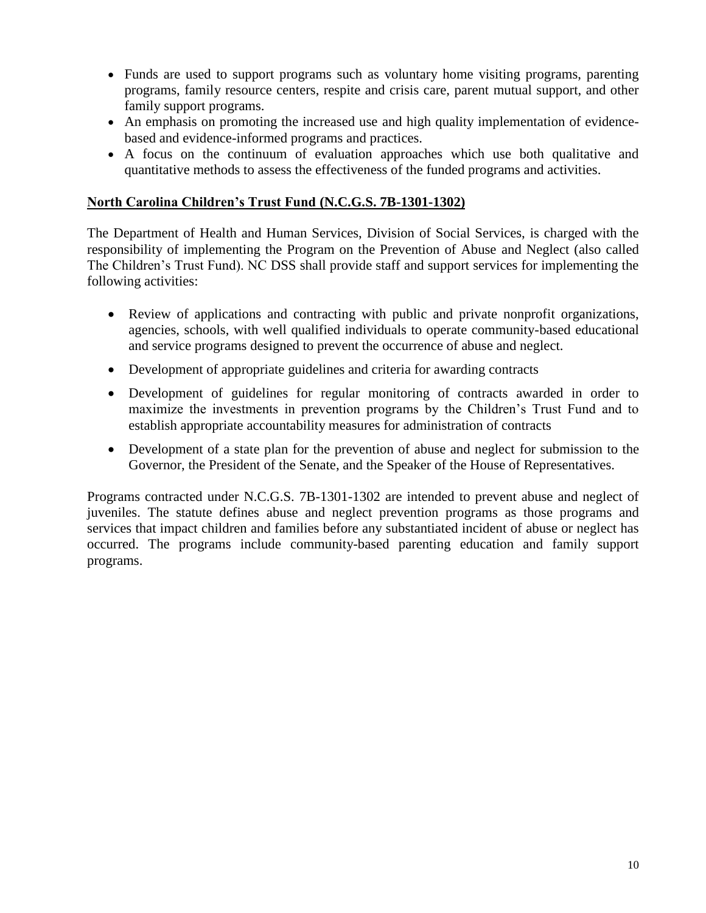- Funds are used to support programs such as voluntary home visiting programs, parenting programs, family resource centers, respite and crisis care, parent mutual support, and other family support programs.
- An emphasis on promoting the increased use and high quality implementation of evidencebased and evidence-informed programs and practices.
- A focus on the continuum of evaluation approaches which use both qualitative and quantitative methods to assess the effectiveness of the funded programs and activities.

### **North Carolina Children's Trust Fund (N.C.G.S. 7B-1301-1302)**

The Department of Health and Human Services, Division of Social Services, is charged with the responsibility of implementing the Program on the Prevention of Abuse and Neglect (also called The Children's Trust Fund). NC DSS shall provide staff and support services for implementing the following activities:

- Review of applications and contracting with public and private nonprofit organizations, agencies, schools, with well qualified individuals to operate community-based educational and service programs designed to prevent the occurrence of abuse and neglect.
- Development of appropriate guidelines and criteria for awarding contracts
- Development of guidelines for regular monitoring of contracts awarded in order to maximize the investments in prevention programs by the Children's Trust Fund and to establish appropriate accountability measures for administration of contracts
- Development of a state plan for the prevention of abuse and neglect for submission to the Governor, the President of the Senate, and the Speaker of the House of Representatives.

Programs contracted under N.C.G.S. 7B-1301-1302 are intended to prevent abuse and neglect of juveniles. The statute defines abuse and neglect prevention programs as those programs and services that impact children and families before any substantiated incident of abuse or neglect has occurred. The programs include community-based parenting education and family support programs.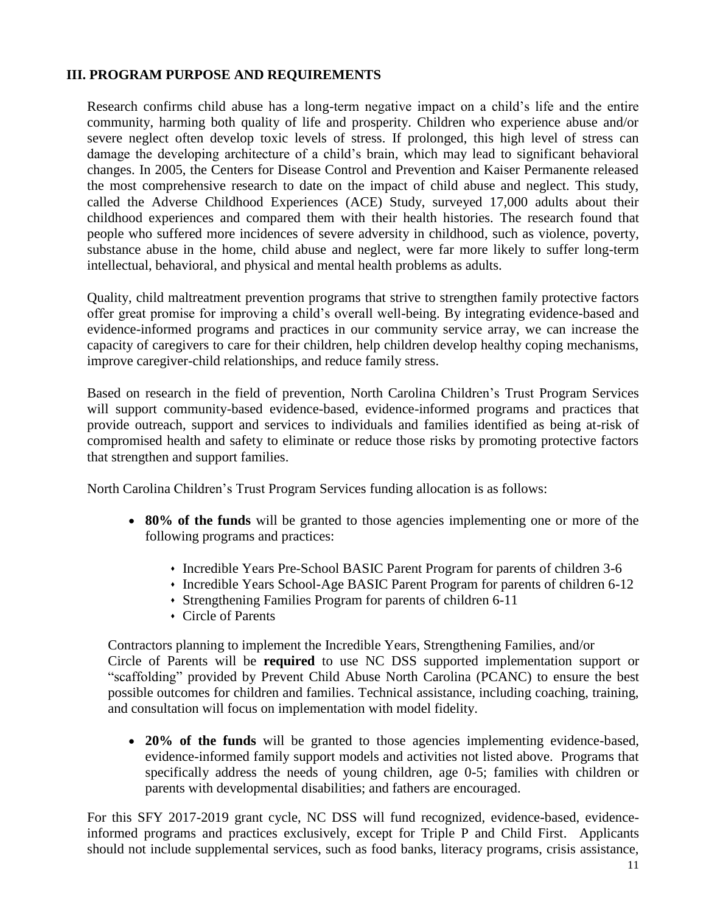### **III. PROGRAM PURPOSE AND REQUIREMENTS**

Research confirms child abuse has a long-term negative impact on a child's life and the entire community, harming both quality of life and prosperity. Children who experience abuse and/or severe neglect often develop toxic levels of stress. If prolonged, this high level of stress can damage the developing architecture of a child's brain, which may lead to significant behavioral changes. In 2005, the Centers for Disease Control and Prevention and Kaiser Permanente released the most comprehensive research to date on the impact of child abuse and neglect. This study, called the Adverse Childhood Experiences (ACE) Study, surveyed 17,000 adults about their childhood experiences and compared them with their health histories. The research found that people who suffered more incidences of severe adversity in childhood, such as violence, poverty, substance abuse in the home, child abuse and neglect, were far more likely to suffer long-term intellectual, behavioral, and physical and mental health problems as adults.

Quality, child maltreatment prevention programs that strive to strengthen family protective factors offer great promise for improving a child's overall well-being. By integrating evidence-based and evidence-informed programs and practices in our community service array, we can increase the capacity of caregivers to care for their children, help children develop healthy coping mechanisms, improve caregiver-child relationships, and reduce family stress.

Based on research in the field of prevention, North Carolina Children's Trust Program Services will support community-based evidence-based, evidence-informed programs and practices that provide outreach, support and services to individuals and families identified as being at-risk of compromised health and safety to eliminate or reduce those risks by promoting protective factors that strengthen and support families.

North Carolina Children's Trust Program Services funding allocation is as follows:

- **80% of the funds** will be granted to those agencies implementing one or more of the following programs and practices:
	- Incredible Years Pre-School BASIC Parent Program for parents of children 3-6
	- Incredible Years School-Age BASIC Parent Program for parents of children 6-12
	- Strengthening Families Program for parents of children 6-11
	- Circle of Parents

Contractors planning to implement the Incredible Years, Strengthening Families, and/or Circle of Parents will be **required** to use NC DSS supported implementation support or "scaffolding" provided by Prevent Child Abuse North Carolina (PCANC) to ensure the best possible outcomes for children and families. Technical assistance, including coaching, training, and consultation will focus on implementation with model fidelity.

 **20% of the funds** will be granted to those agencies implementing evidence-based, evidence-informed family support models and activities not listed above. Programs that specifically address the needs of young children, age 0-5; families with children or parents with developmental disabilities; and fathers are encouraged.

For this SFY 2017-2019 grant cycle, NC DSS will fund recognized, evidence-based, evidenceinformed programs and practices exclusively, except for Triple P and Child First. Applicants should not include supplemental services, such as food banks, literacy programs, crisis assistance,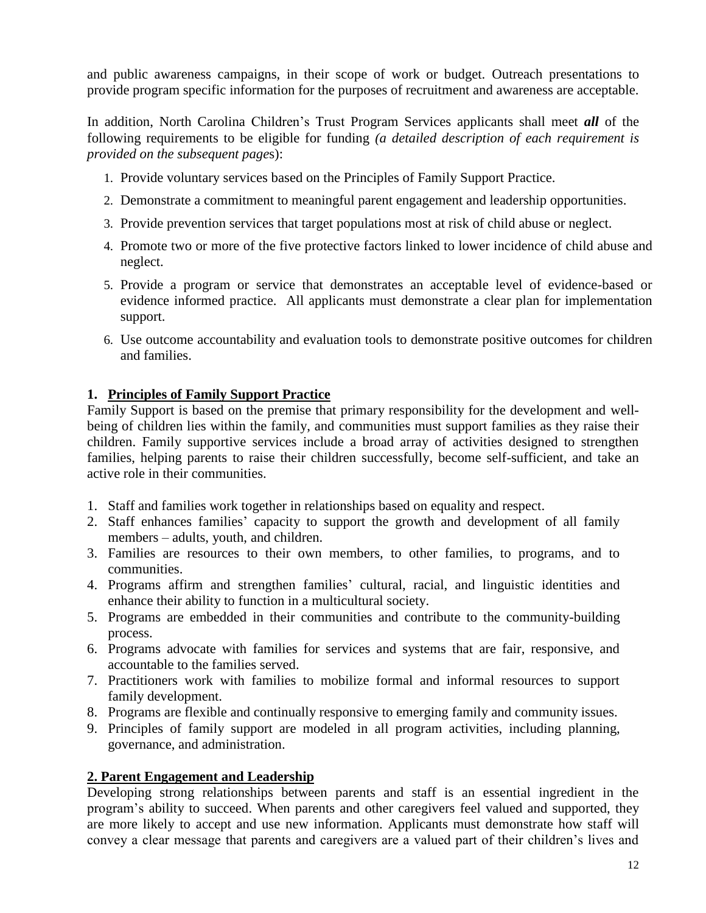and public awareness campaigns, in their scope of work or budget. Outreach presentations to provide program specific information for the purposes of recruitment and awareness are acceptable.

In addition, North Carolina Children's Trust Program Services applicants shall meet *all* of the following requirements to be eligible for funding *(a detailed description of each requirement is provided on the subsequent page*s):

- 1. Provide voluntary services based on the Principles of Family Support Practice.
- 2. Demonstrate a commitment to meaningful parent engagement and leadership opportunities.
- 3. Provide prevention services that target populations most at risk of child abuse or neglect.
- 4. Promote two or more of the five protective factors linked to lower incidence of child abuse and neglect.
- 5. Provide a program or service that demonstrates an acceptable level of evidence-based or evidence informed practice. All applicants must demonstrate a clear plan for implementation support.
- 6. Use outcome accountability and evaluation tools to demonstrate positive outcomes for children and families.

## **1. Principles of Family Support Practice**

Family Support is based on the premise that primary responsibility for the development and wellbeing of children lies within the family, and communities must support families as they raise their children. Family supportive services include a broad array of activities designed to strengthen families, helping parents to raise their children successfully, become self-sufficient, and take an active role in their communities.

- 1. Staff and families work together in relationships based on equality and respect.
- 2. Staff enhances families' capacity to support the growth and development of all family members – adults, youth, and children.
- 3. Families are resources to their own members, to other families, to programs, and to communities.
- 4. Programs affirm and strengthen families' cultural, racial, and linguistic identities and enhance their ability to function in a multicultural society.
- 5. Programs are embedded in their communities and contribute to the community-building process.
- 6. Programs advocate with families for services and systems that are fair, responsive, and accountable to the families served.
- 7. Practitioners work with families to mobilize formal and informal resources to support family development.
- 8. Programs are flexible and continually responsive to emerging family and community issues.
- 9. Principles of family support are modeled in all program activities, including planning, governance, and administration.

## **2. Parent Engagement and Leadership**

Developing strong relationships between parents and staff is an essential ingredient in the program's ability to succeed. When parents and other caregivers feel valued and supported, they are more likely to accept and use new information. Applicants must demonstrate how staff will convey a clear message that parents and caregivers are a valued part of their children's lives and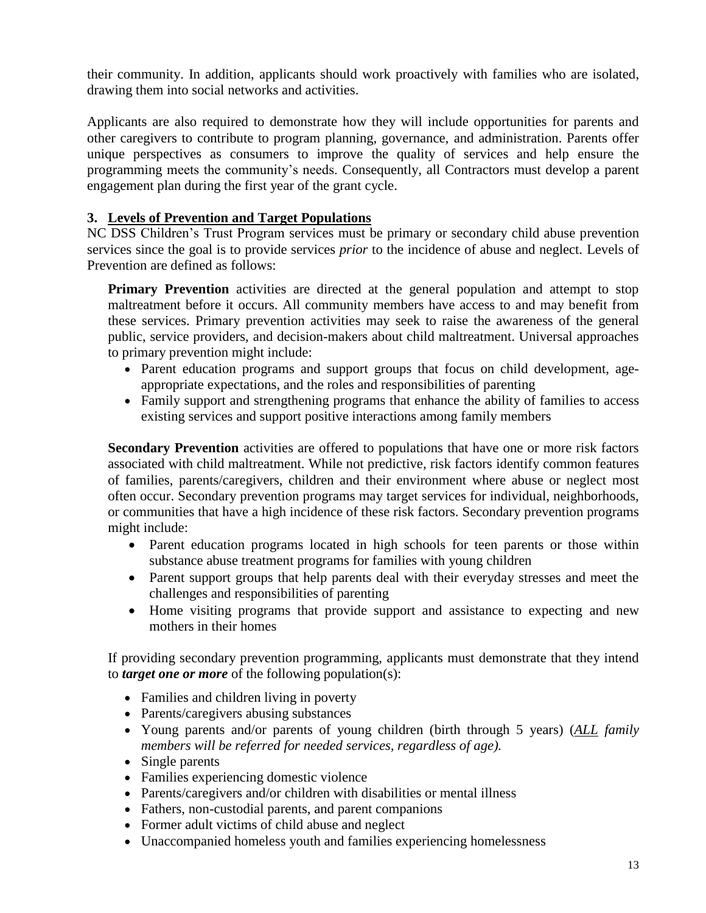their community. In addition, applicants should work proactively with families who are isolated, drawing them into social networks and activities.

Applicants are also required to demonstrate how they will include opportunities for parents and other caregivers to contribute to program planning, governance, and administration. Parents offer unique perspectives as consumers to improve the quality of services and help ensure the programming meets the community's needs. Consequently, all Contractors must develop a parent engagement plan during the first year of the grant cycle.

## **3. Levels of Prevention and Target Populations**

NC DSS Children's Trust Program services must be primary or secondary child abuse prevention services since the goal is to provide services *prior* to the incidence of abuse and neglect. Levels of Prevention are defined as follows:

**Primary Prevention** activities are directed at the general population and attempt to stop maltreatment before it occurs. All community members have access to and may benefit from these services. Primary prevention activities may seek to raise the awareness of the general public, service providers, and decision-makers about child maltreatment. Universal approaches to primary prevention might include:

- Parent education programs and support groups that focus on child development, ageappropriate expectations, and the roles and responsibilities of parenting
- Family support and strengthening programs that enhance the ability of families to access existing services and support positive interactions among family members

**Secondary Prevention** activities are offered to populations that have one or more risk factors associated with child maltreatment. While not predictive, risk factors identify common features of families, parents/caregivers, children and their environment where abuse or neglect most often occur. Secondary prevention programs may target services for individual, neighborhoods, or communities that have a high incidence of these risk factors. Secondary prevention programs might include:

- Parent education programs located in high schools for teen parents or those within substance abuse treatment programs for families with young children
- Parent support groups that help parents deal with their everyday stresses and meet the challenges and responsibilities of parenting
- Home visiting programs that provide support and assistance to expecting and new mothers in their homes

If providing secondary prevention programming, applicants must demonstrate that they intend to *target one or more* of the following population(s):

- Families and children living in poverty
- Parents/caregivers abusing substances
- Young parents and/or parents of young children (birth through 5 years) (*ALL family members will be referred for needed services, regardless of age).*
- Single parents
- Families experiencing domestic violence
- Parents/caregivers and/or children with disabilities or mental illness
- Fathers, non-custodial parents, and parent companions
- Former adult victims of child abuse and neglect
- Unaccompanied homeless youth and families experiencing homelessness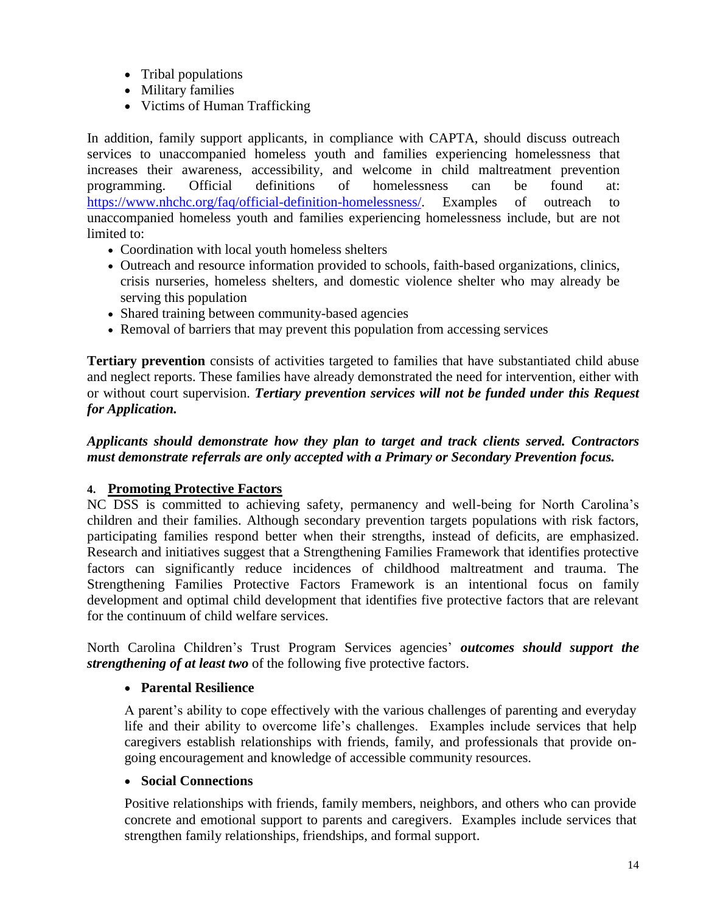- Tribal populations
- Military families
- Victims of Human Trafficking

In addition, family support applicants, in compliance with CAPTA, should discuss outreach services to unaccompanied homeless youth and families experiencing homelessness that increases their awareness, accessibility, and welcome in child maltreatment prevention programming. Official definitions of homelessness can be found at: [https://www.nhchc.org/faq/official-definition-homelessness/.](https://www.nhchc.org/faq/official-definition-homelessness/) Examples of outreach to unaccompanied homeless youth and families experiencing homelessness include, but are not limited to:

- Coordination with local youth homeless shelters
- Outreach and resource information provided to schools, faith-based organizations, clinics, crisis nurseries, homeless shelters, and domestic violence shelter who may already be serving this population
- Shared training between community-based agencies
- Removal of barriers that may prevent this population from accessing services

**Tertiary prevention** consists of activities targeted to families that have substantiated child abuse and neglect reports. These families have already demonstrated the need for intervention, either with or without court supervision. *Tertiary prevention services will not be funded under this Request for Application.* 

## *Applicants should demonstrate how they plan to target and track clients served. Contractors must demonstrate referrals are only accepted with a Primary or Secondary Prevention focus.*

## **4. Promoting Protective Factors**

NC DSS is committed to achieving safety, permanency and well-being for North Carolina's children and their families. Although secondary prevention targets populations with risk factors, participating families respond better when their strengths, instead of deficits, are emphasized. Research and initiatives suggest that a Strengthening Families Framework that identifies protective factors can significantly reduce incidences of childhood maltreatment and trauma. The Strengthening Families Protective Factors Framework is an intentional focus on family development and optimal child development that identifies five protective factors that are relevant for the continuum of child welfare services.

North Carolina Children's Trust Program Services agencies' *outcomes should support the strengthening of at least two* of the following five protective factors.

## **Parental Resilience**

A parent's ability to cope effectively with the various challenges of parenting and everyday life and their ability to overcome life's challenges. Examples include services that help caregivers establish relationships with friends, family, and professionals that provide ongoing encouragement and knowledge of accessible community resources.

## **Social Connections**

Positive relationships with friends, family members, neighbors, and others who can provide concrete and emotional support to parents and caregivers. Examples include services that strengthen family relationships, friendships, and formal support.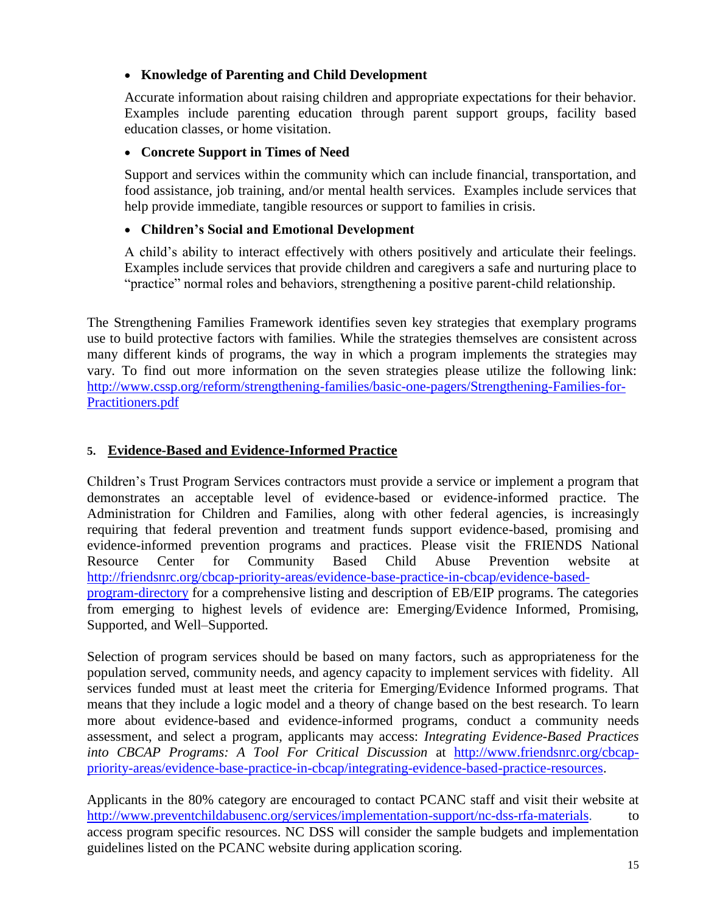## **Knowledge of Parenting and Child Development**

Accurate information about raising children and appropriate expectations for their behavior. Examples include parenting education through parent support groups, facility based education classes, or home visitation.

## **Concrete Support in Times of Need**

Support and services within the community which can include financial, transportation, and food assistance, job training, and/or mental health services. Examples include services that help provide immediate, tangible resources or support to families in crisis.

## **Children's Social and Emotional Development**

A child's ability to interact effectively with others positively and articulate their feelings. Examples include services that provide children and caregivers a safe and nurturing place to "practice" normal roles and behaviors, strengthening a positive parent-child relationship.

The Strengthening Families Framework identifies seven key strategies that exemplary programs use to build protective factors with families. While the strategies themselves are consistent across many different kinds of programs, the way in which a program implements the strategies may vary. To find out more information on the seven strategies please utilize the following link: [http://www.cssp.org/reform/strengthening-families/basic-one-pagers/Strengthening-Families-for-](http://www.cssp.org/reform/strengthening-families/basic-one-pagers/Strengthening-Families-for-Practitioners.pdf)[Practitioners.pdf](http://www.cssp.org/reform/strengthening-families/basic-one-pagers/Strengthening-Families-for-Practitioners.pdf)

## **5. Evidence-Based and Evidence-Informed Practice**

Children's Trust Program Services contractors must provide a service or implement a program that demonstrates an acceptable level of evidence-based or evidence-informed practice. The Administration for Children and Families, along with other federal agencies, is increasingly requiring that federal prevention and treatment funds support evidence-based, promising and evidence-informed prevention programs and practices. Please visit the FRIENDS National Resource Center for Community Based Child Abuse Prevention website at [http://friendsnrc.org/cbcap-priority-areas/evidence-base-practice-in-cbcap/evidence-based](http://friendsnrc.org/cbcap-priority-areas/evidence-base-practice-in-cbcap/evidence-based-program-directory)[program-directory](http://friendsnrc.org/cbcap-priority-areas/evidence-base-practice-in-cbcap/evidence-based-program-directory) for a comprehensive listing and description of EB/EIP programs. The categories from emerging to highest levels of evidence are: Emerging/Evidence Informed, Promising, Supported, and Well–Supported.

Selection of program services should be based on many factors, such as appropriateness for the population served, community needs, and agency capacity to implement services with fidelity. All services funded must at least meet the criteria for Emerging/Evidence Informed programs. That means that they include a logic model and a theory of change based on the best research. To learn more about evidence-based and evidence-informed programs, conduct a community needs assessment, and select a program, applicants may access: *Integrating Evidence-Based Practices into CBCAP Programs: A Tool For Critical Discussion* at [http://www.friendsnrc.org/cbcap](http://www.friendsnrc.org/cbcap-priority-areas/evidence-base-practice-in-cbcap/integrating-evidence-based-practice-resources)[priority-areas/evidence-base-practice-in-cbcap/integrating-evidence-based-practice-resources.](http://www.friendsnrc.org/cbcap-priority-areas/evidence-base-practice-in-cbcap/integrating-evidence-based-practice-resources)

Applicants in the 80% category are encouraged to contact PCANC staff and visit their website at [http://www.preventchildabusenc.org/services/implementation-support/nc-dss-rfa-materials.](http://www.preventchildabusenc.org/services/implementation-support/nc-dss-rfa-materials) access program specific resources. NC DSS will consider the sample budgets and implementation guidelines listed on the PCANC website during application scoring.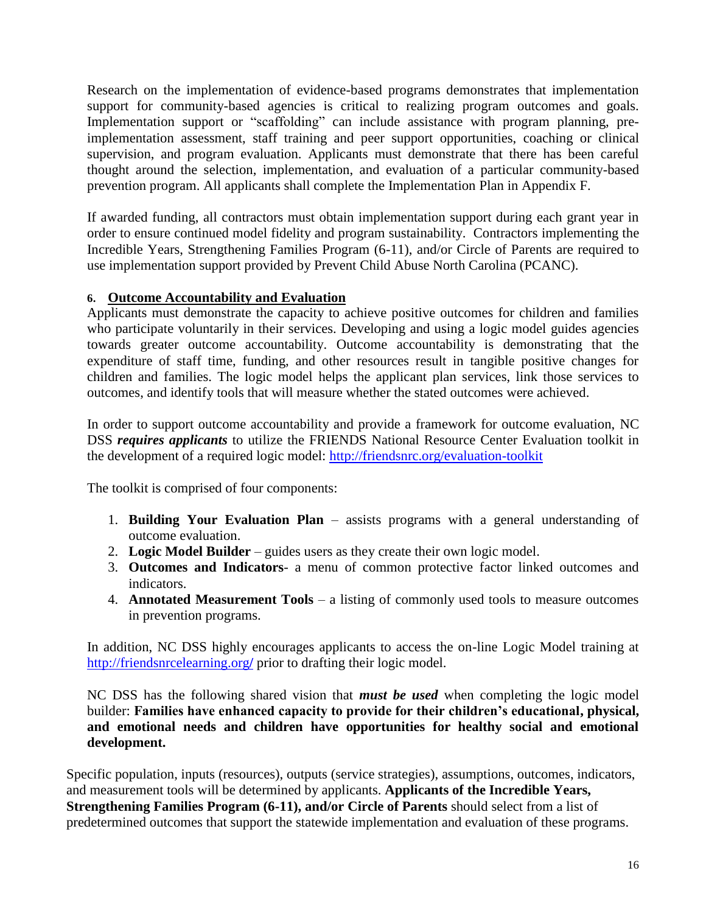Research on the implementation of evidence-based programs demonstrates that implementation support for community-based agencies is critical to realizing program outcomes and goals. Implementation support or "scaffolding" can include assistance with program planning, preimplementation assessment, staff training and peer support opportunities, coaching or clinical supervision, and program evaluation. Applicants must demonstrate that there has been careful thought around the selection, implementation, and evaluation of a particular community-based prevention program. All applicants shall complete the Implementation Plan in Appendix F.

If awarded funding, all contractors must obtain implementation support during each grant year in order to ensure continued model fidelity and program sustainability. Contractors implementing the Incredible Years, Strengthening Families Program (6-11), and/or Circle of Parents are required to use implementation support provided by Prevent Child Abuse North Carolina (PCANC).

## **6. Outcome Accountability and Evaluation**

Applicants must demonstrate the capacity to achieve positive outcomes for children and families who participate voluntarily in their services. Developing and using a logic model guides agencies towards greater outcome accountability. Outcome accountability is demonstrating that the expenditure of staff time, funding, and other resources result in tangible positive changes for children and families. The logic model helps the applicant plan services, link those services to outcomes, and identify tools that will measure whether the stated outcomes were achieved.

In order to support outcome accountability and provide a framework for outcome evaluation, NC DSS *requires applicants* to utilize the FRIENDS National Resource Center Evaluation toolkit in the development of a required logic model:<http://friendsnrc.org/evaluation-toolkit>

The toolkit is comprised of four components:

- 1. **Building Your Evaluation Plan** assists programs with a general understanding of outcome evaluation.
- 2. **Logic Model Builder** guides users as they create their own logic model.
- 3. **Outcomes and Indicators** a menu of common protective factor linked outcomes and indicators.
- 4. **Annotated Measurement Tools** a listing of commonly used tools to measure outcomes in prevention programs.

In addition, NC DSS highly encourages applicants to access the on-line Logic Model training at [http://friendsnrcelearning.org](http://friendsnrcelearning.org/)**/** prior to drafting their logic model.

NC DSS has the following shared vision that *must be used* when completing the logic model builder: **Families have enhanced capacity to provide for their children's educational, physical, and emotional needs and children have opportunities for healthy social and emotional development.** 

Specific population, inputs (resources), outputs (service strategies), assumptions, outcomes, indicators, and measurement tools will be determined by applicants. **Applicants of the Incredible Years, Strengthening Families Program (6-11), and/or Circle of Parents** should select from a list of predetermined outcomes that support the statewide implementation and evaluation of these programs.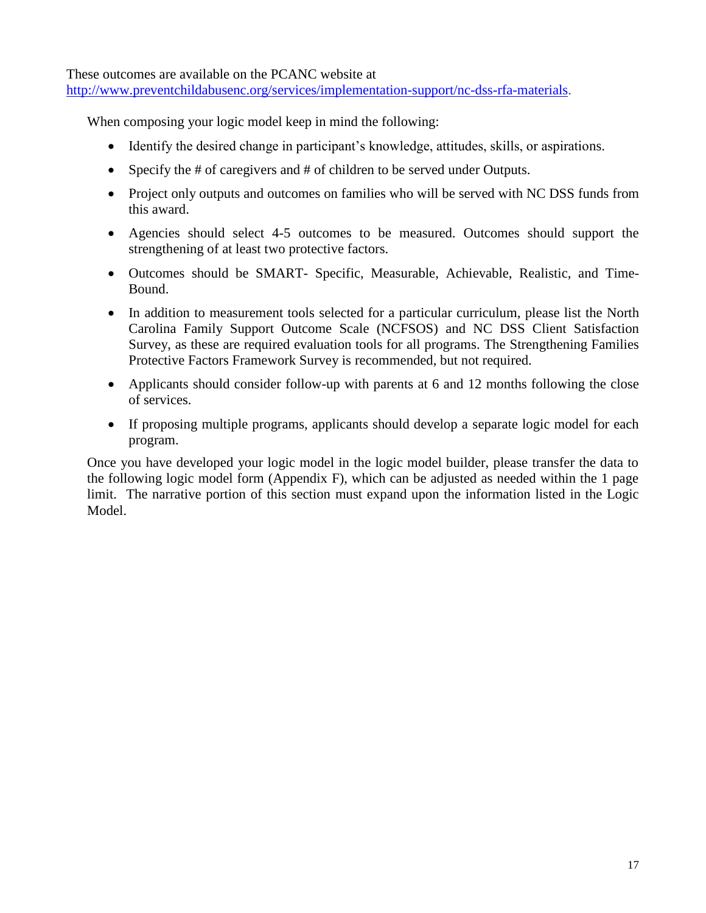These outcomes are available on the PCANC website at

[http://www.preventchildabusenc.org/services/implementation-support/nc-dss-rfa-materials.](http://www.preventchildabusenc.org/services/implementation-support/nc-dss-rfa-materials)

When composing your logic model keep in mind the following:

- Identify the desired change in participant's knowledge, attitudes, skills, or aspirations.
- Specify the # of caregivers and # of children to be served under Outputs.
- Project only outputs and outcomes on families who will be served with NC DSS funds from this award.
- Agencies should select 4-5 outcomes to be measured. Outcomes should support the strengthening of at least two protective factors.
- Outcomes should be SMART- Specific, Measurable, Achievable, Realistic, and Time-Bound.
- In addition to measurement tools selected for a particular curriculum, please list the North Carolina Family Support Outcome Scale (NCFSOS) and NC DSS Client Satisfaction Survey, as these are required evaluation tools for all programs. The Strengthening Families Protective Factors Framework Survey is recommended, but not required.
- Applicants should consider follow-up with parents at 6 and 12 months following the close of services.
- If proposing multiple programs, applicants should develop a separate logic model for each program.

Once you have developed your logic model in the logic model builder, please transfer the data to the following logic model form (Appendix F), which can be adjusted as needed within the 1 page limit. The narrative portion of this section must expand upon the information listed in the Logic Model.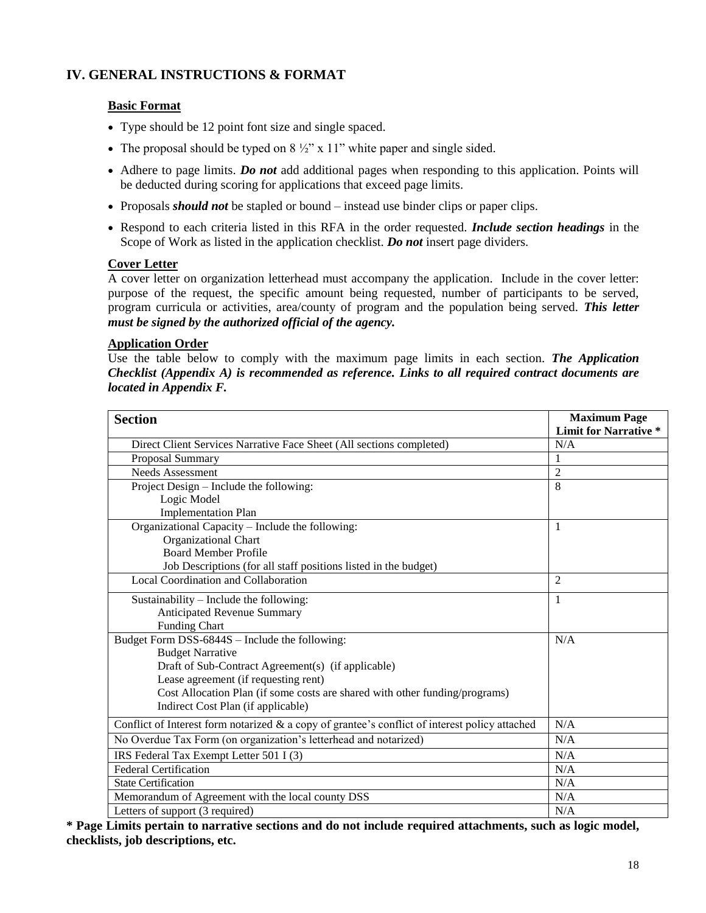## **IV. GENERAL INSTRUCTIONS & FORMAT**

### **Basic Format**

- Type should be 12 point font size and single spaced.
- The proposal should be typed on  $8\frac{1}{2}$ " x 11" white paper and single sided.
- Adhere to page limits. *Do not* add additional pages when responding to this application. Points will be deducted during scoring for applications that exceed page limits.
- Proposals *should not* be stapled or bound instead use binder clips or paper clips.
- Respond to each criteria listed in this RFA in the order requested. *Include section headings* in the Scope of Work as listed in the application checklist. *Do not* insert page dividers.

#### **Cover Letter**

A cover letter on organization letterhead must accompany the application. Include in the cover letter: purpose of the request, the specific amount being requested, number of participants to be served, program curricula or activities, area/county of program and the population being served. *This letter must be signed by the authorized official of the agency.*

#### **Application Order**

Use the table below to comply with the maximum page limits in each section. *The Application Checklist (Appendix A) is recommended as reference. Links to all required contract documents are located in Appendix F.* 

| <b>Section</b>                                                                                 | <b>Maximum Page</b>          |
|------------------------------------------------------------------------------------------------|------------------------------|
|                                                                                                | <b>Limit for Narrative *</b> |
| Direct Client Services Narrative Face Sheet (All sections completed)                           | N/A                          |
| Proposal Summary                                                                               | 1                            |
| Needs Assessment                                                                               | $\overline{2}$               |
| Project Design – Include the following:                                                        | 8                            |
| Logic Model                                                                                    |                              |
| <b>Implementation Plan</b>                                                                     |                              |
| Organizational Capacity - Include the following:                                               | 1                            |
| Organizational Chart                                                                           |                              |
| <b>Board Member Profile</b>                                                                    |                              |
| Job Descriptions (for all staff positions listed in the budget)                                |                              |
| Local Coordination and Collaboration                                                           | 2                            |
| Sustainability – Include the following:                                                        | 1                            |
| Anticipated Revenue Summary                                                                    |                              |
| <b>Funding Chart</b>                                                                           |                              |
| Budget Form DSS-6844S - Include the following:                                                 | N/A                          |
| <b>Budget Narrative</b>                                                                        |                              |
| Draft of Sub-Contract Agreement(s) (if applicable)                                             |                              |
| Lease agreement (if requesting rent)                                                           |                              |
| Cost Allocation Plan (if some costs are shared with other funding/programs)                    |                              |
| Indirect Cost Plan (if applicable)                                                             |                              |
| Conflict of Interest form notarized & a copy of grantee's conflict of interest policy attached | N/A                          |
| No Overdue Tax Form (on organization's letterhead and notarized)                               | N/A                          |
| IRS Federal Tax Exempt Letter 501 I (3)                                                        | N/A                          |
| <b>Federal Certification</b>                                                                   | N/A                          |
| <b>State Certification</b>                                                                     | N/A                          |
| Memorandum of Agreement with the local county DSS                                              | N/A                          |
| Letters of support (3 required)                                                                | N/A                          |

**\* Page Limits pertain to narrative sections and do not include required attachments, such as logic model, checklists, job descriptions, etc.**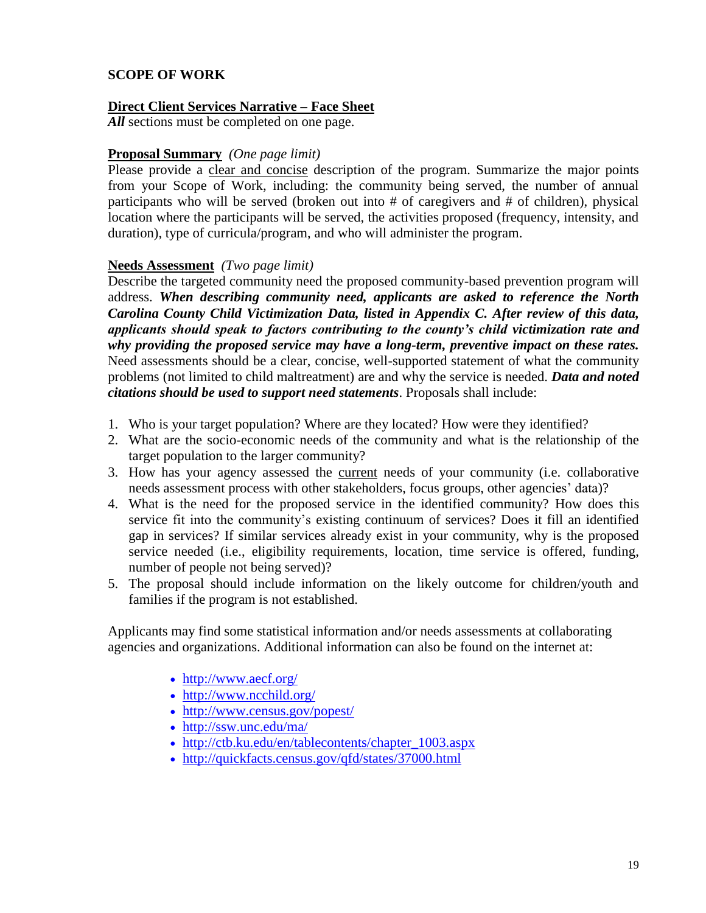### **SCOPE OF WORK**

### **Direct Client Services Narrative – Face Sheet**

*All* sections must be completed on one page.

### **Proposal Summary** *(One page limit)*

Please provide a clear and concise description of the program. Summarize the major points from your Scope of Work, including: the community being served, the number of annual participants who will be served (broken out into # of caregivers and # of children), physical location where the participants will be served, the activities proposed (frequency, intensity, and duration), type of curricula/program, and who will administer the program.

### **Needs Assessment** *(Two page limit)*

Describe the targeted community need the proposed community-based prevention program will address. *When describing community need, applicants are asked to reference the North Carolina County Child Victimization Data, listed in Appendix C. After review of this data, applicants should speak to factors contributing to the county's child victimization rate and why providing the proposed service may have a long-term, preventive impact on these rates.* Need assessments should be a clear, concise, well-supported statement of what the community problems (not limited to child maltreatment) are and why the service is needed. *Data and noted citations should be used to support need statements*. Proposals shall include:

- 1. Who is your target population? Where are they located? How were they identified?
- 2. What are the socio-economic needs of the community and what is the relationship of the target population to the larger community?
- 3. How has your agency assessed the current needs of your community (i.e. collaborative needs assessment process with other stakeholders, focus groups, other agencies' data)?
- 4. What is the need for the proposed service in the identified community? How does this service fit into the community's existing continuum of services? Does it fill an identified gap in services? If similar services already exist in your community, why is the proposed service needed (i.e., eligibility requirements, location, time service is offered, funding, number of people not being served)?
- 5. The proposal should include information on the likely outcome for children/youth and families if the program is not established.

Applicants may find some statistical information and/or needs assessments at collaborating agencies and organizations. Additional information can also be found on the internet at:

- <http://www.aecf.org/>
- <http://www.ncchild.org/>
- <http://www.census.gov/popest/>
- <http://ssw.unc.edu/ma/>
- http://ctb.ku.edu/en/tablecontents/chapter 1003.aspx
- <http://quickfacts.census.gov/qfd/states/37000.html>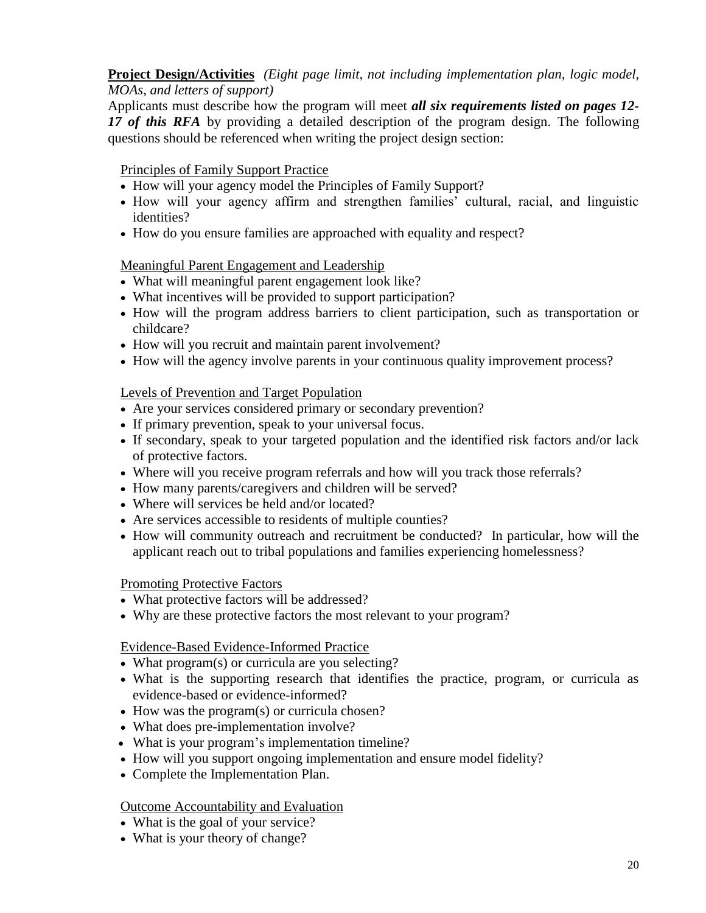## **Project Design/Activities** *(Eight page limit, not including implementation plan, logic model, MOAs, and letters of support)*

Applicants must describe how the program will meet *all six requirements listed on pages 12- 17 of this RFA* by providing a detailed description of the program design. The following questions should be referenced when writing the project design section:

## Principles of Family Support Practice

- How will your agency model the Principles of Family Support?
- How will your agency affirm and strengthen families' cultural, racial, and linguistic identities?
- How do you ensure families are approached with equality and respect?

## Meaningful Parent Engagement and Leadership

- What will meaningful parent engagement look like?
- What incentives will be provided to support participation?
- How will the program address barriers to client participation, such as transportation or childcare?
- How will you recruit and maintain parent involvement?
- How will the agency involve parents in your continuous quality improvement process?

## Levels of Prevention and Target Population

- Are your services considered primary or secondary prevention?
- If primary prevention, speak to your universal focus.
- If secondary, speak to your targeted population and the identified risk factors and/or lack of protective factors.
- Where will you receive program referrals and how will you track those referrals?
- How many parents/caregivers and children will be served?
- Where will services be held and/or located?
- Are services accessible to residents of multiple counties?
- How will community outreach and recruitment be conducted? In particular, how will the applicant reach out to tribal populations and families experiencing homelessness?

## Promoting Protective Factors

- What protective factors will be addressed?
- Why are these protective factors the most relevant to your program?

## Evidence-Based Evidence-Informed Practice

- What program(s) or curricula are you selecting?
- What is the supporting research that identifies the practice, program, or curricula as evidence-based or evidence-informed?
- How was the program(s) or curricula chosen?
- What does pre-implementation involve?
- What is your program's implementation timeline?
- How will you support ongoing implementation and ensure model fidelity?
- Complete the Implementation Plan.

## Outcome Accountability and Evaluation

- What is the goal of your service?
- What is your theory of change?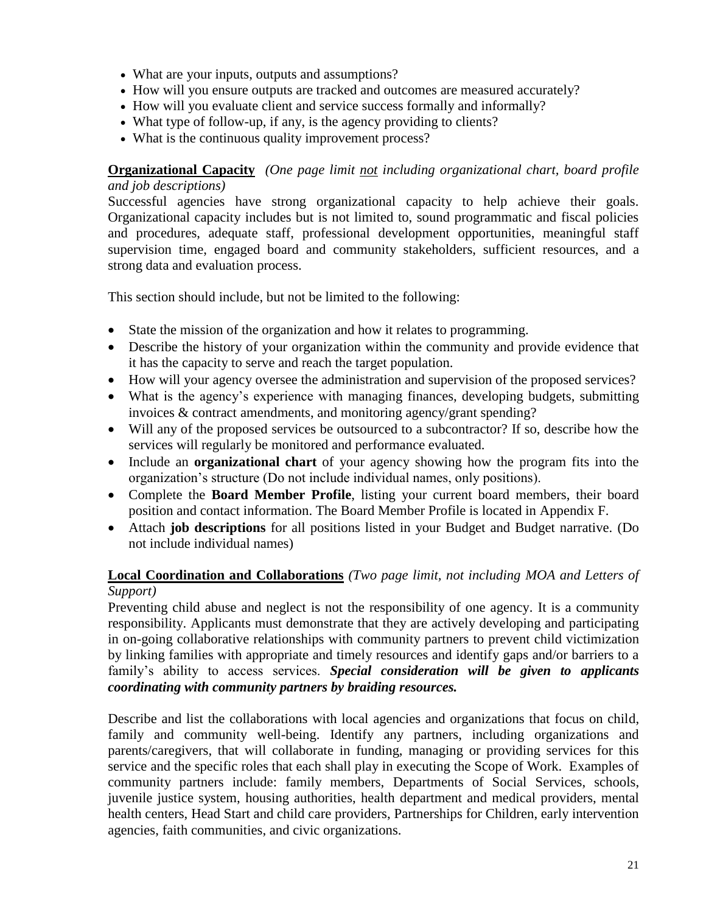- What are your inputs, outputs and assumptions?
- How will you ensure outputs are tracked and outcomes are measured accurately?
- How will you evaluate client and service success formally and informally?
- What type of follow-up, if any, is the agency providing to clients?
- What is the continuous quality improvement process?

## **Organizational Capacity** *(One page limit not including organizational chart, board profile and job descriptions)*

Successful agencies have strong organizational capacity to help achieve their goals. Organizational capacity includes but is not limited to, sound programmatic and fiscal policies and procedures, adequate staff, professional development opportunities, meaningful staff supervision time, engaged board and community stakeholders, sufficient resources, and a strong data and evaluation process.

This section should include, but not be limited to the following:

- State the mission of the organization and how it relates to programming.
- Describe the history of your organization within the community and provide evidence that it has the capacity to serve and reach the target population.
- How will your agency oversee the administration and supervision of the proposed services?
- What is the agency's experience with managing finances, developing budgets, submitting invoices & contract amendments, and monitoring agency/grant spending?
- Will any of the proposed services be outsourced to a subcontractor? If so, describe how the services will regularly be monitored and performance evaluated.
- Include an **organizational chart** of your agency showing how the program fits into the organization's structure (Do not include individual names, only positions).
- Complete the **Board Member Profile**, listing your current board members, their board position and contact information. The Board Member Profile is located in Appendix F.
- Attach **job descriptions** for all positions listed in your Budget and Budget narrative. (Do not include individual names)

## **Local Coordination and Collaborations** *(Two page limit, not including MOA and Letters of Support)*

Preventing child abuse and neglect is not the responsibility of one agency. It is a community responsibility. Applicants must demonstrate that they are actively developing and participating in on-going collaborative relationships with community partners to prevent child victimization by linking families with appropriate and timely resources and identify gaps and/or barriers to a family's ability to access services. *Special consideration will be given to applicants coordinating with community partners by braiding resources.*

Describe and list the collaborations with local agencies and organizations that focus on child, family and community well-being. Identify any partners, including organizations and parents/caregivers, that will collaborate in funding, managing or providing services for this service and the specific roles that each shall play in executing the Scope of Work. Examples of community partners include: family members, Departments of Social Services, schools, juvenile justice system, housing authorities, health department and medical providers, mental health centers, Head Start and child care providers, Partnerships for Children, early intervention agencies, faith communities, and civic organizations.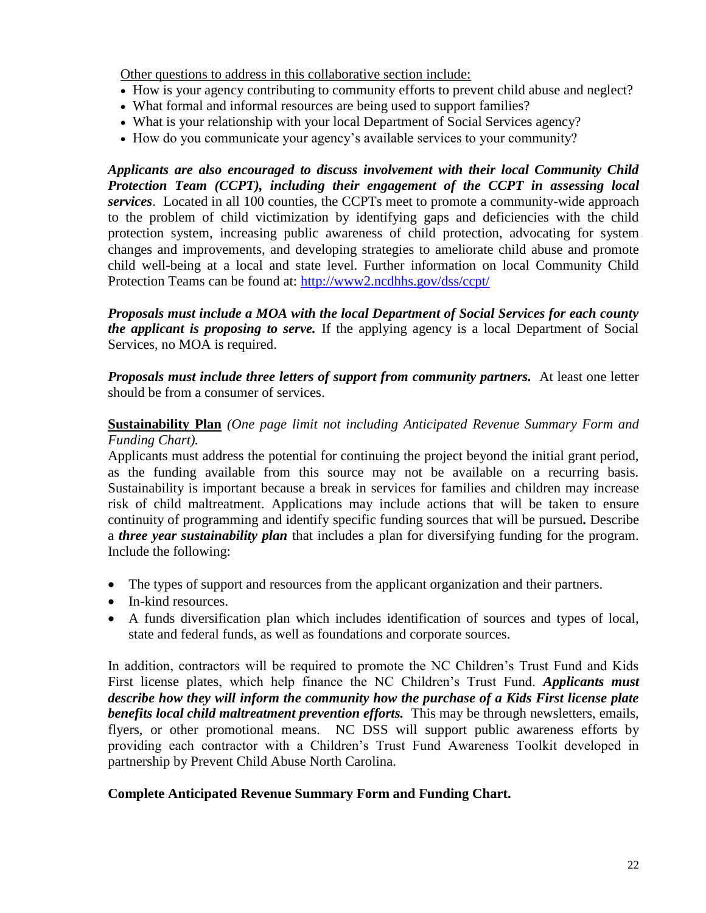Other questions to address in this collaborative section include:

- How is your agency contributing to community efforts to prevent child abuse and neglect?
- What formal and informal resources are being used to support families?
- What is your relationship with your local Department of Social Services agency?
- How do you communicate your agency's available services to your community?

*Applicants are also encouraged to discuss involvement with their local Community Child Protection Team (CCPT), including their engagement of the CCPT in assessing local services*. Located in all 100 counties, the CCPTs meet to promote a community-wide approach to the problem of child victimization by identifying gaps and deficiencies with the child protection system, increasing public awareness of child protection, advocating for system changes and improvements, and developing strategies to ameliorate child abuse and promote child well-being at a local and state level. Further information on local Community Child Protection Teams can be found at:<http://www2.ncdhhs.gov/dss/ccpt/>

*Proposals must include a MOA with the local Department of Social Services for each county the applicant is proposing to serve.* If the applying agency is a local Department of Social Services, no MOA is required.

*Proposals must include three letters of support from community partners.* At least one letter should be from a consumer of services.

**Sustainability Plan** *(One page limit not including Anticipated Revenue Summary Form and Funding Chart).*

Applicants must address the potential for continuing the project beyond the initial grant period, as the funding available from this source may not be available on a recurring basis. Sustainability is important because a break in services for families and children may increase risk of child maltreatment. Applications may include actions that will be taken to ensure continuity of programming and identify specific funding sources that will be pursued**.** Describe a *three year sustainability plan* that includes a plan for diversifying funding for the program. Include the following:

- The types of support and resources from the applicant organization and their partners.
- In-kind resources.
- A funds diversification plan which includes identification of sources and types of local, state and federal funds, as well as foundations and corporate sources.

In addition, contractors will be required to promote the NC Children's Trust Fund and Kids First license plates, which help finance the NC Children's Trust Fund. *Applicants must describe how they will inform the community how the purchase of a Kids First license plate benefits local child maltreatment prevention efforts.* This may be through newsletters, emails, flyers, or other promotional means. NC DSS will support public awareness efforts by providing each contractor with a Children's Trust Fund Awareness Toolkit developed in partnership by Prevent Child Abuse North Carolina.

## **Complete Anticipated Revenue Summary Form and Funding Chart.**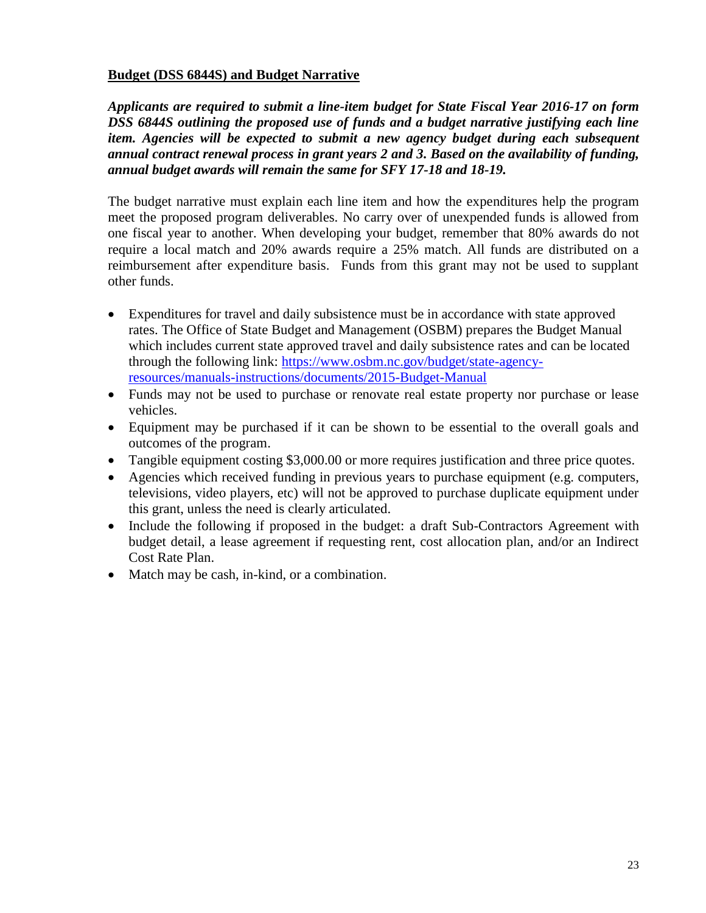### **Budget (DSS 6844S) and Budget Narrative**

*Applicants are required to submit a line-item budget for State Fiscal Year 2016-17 on form DSS 6844S outlining the proposed use of funds and a budget narrative justifying each line item. Agencies will be expected to submit a new agency budget during each subsequent annual contract renewal process in grant years 2 and 3. Based on the availability of funding, annual budget awards will remain the same for SFY 17-18 and 18-19.*

The budget narrative must explain each line item and how the expenditures help the program meet the proposed program deliverables. No carry over of unexpended funds is allowed from one fiscal year to another. When developing your budget, remember that 80% awards do not require a local match and 20% awards require a 25% match. All funds are distributed on a reimbursement after expenditure basis. Funds from this grant may not be used to supplant other funds.

- Expenditures for travel and daily subsistence must be in accordance with state approved rates. The Office of State Budget and Management (OSBM) prepares the Budget Manual which includes current state approved travel and daily subsistence rates and can be located through the following link: [https://www.osbm.nc.gov/budget/state-agency](https://www.osbm.nc.gov/budget/state-agency-resources/manuals-instructions/documents/2015-Budget-Manual)[resources/manuals-instructions/documents/2015-Budget-Manual](https://www.osbm.nc.gov/budget/state-agency-resources/manuals-instructions/documents/2015-Budget-Manual)
- Funds may not be used to purchase or renovate real estate property nor purchase or lease vehicles.
- Equipment may be purchased if it can be shown to be essential to the overall goals and outcomes of the program.
- Tangible equipment costing \$3,000.00 or more requires justification and three price quotes.
- Agencies which received funding in previous years to purchase equipment (e.g. computers, televisions, video players, etc) will not be approved to purchase duplicate equipment under this grant, unless the need is clearly articulated.
- Include the following if proposed in the budget: a draft Sub-Contractors Agreement with budget detail, a lease agreement if requesting rent, cost allocation plan, and/or an Indirect Cost Rate Plan.
- Match may be cash, in-kind, or a combination.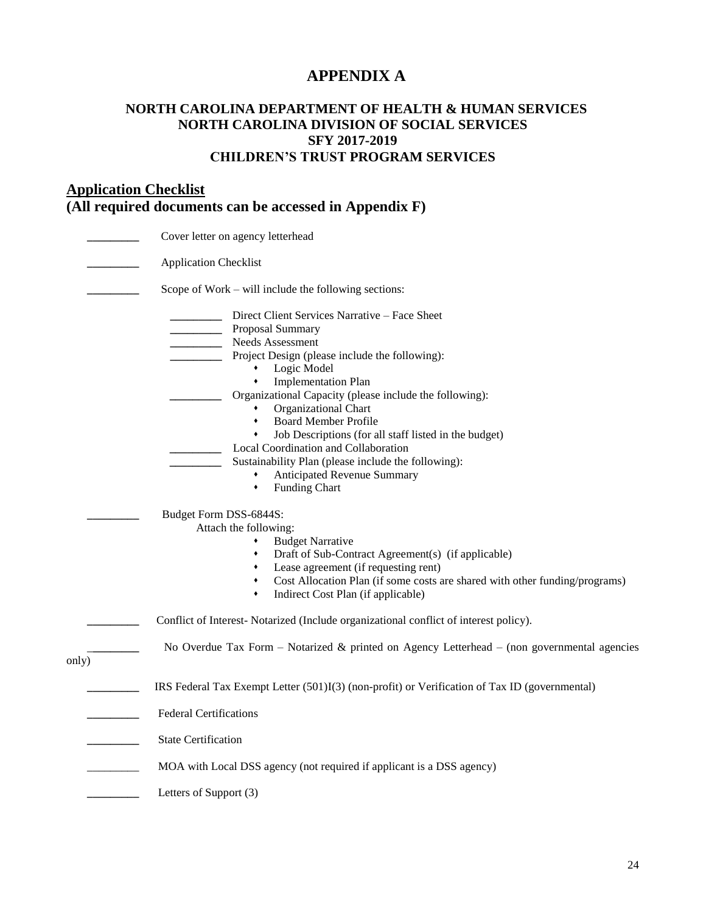# **APPENDIX A**

### **NORTH CAROLINA DEPARTMENT OF HEALTH & HUMAN SERVICES NORTH CAROLINA DIVISION OF SOCIAL SERVICES SFY 2017-2019 CHILDREN'S TRUST PROGRAM SERVICES**

# **Application Checklist (All required documents can be accessed in Appendix F)**

|       | Cover letter on agency letterhead                                                                                                                                                                                                                                                                                                                                                                                                                                                                                                                                                                          |
|-------|------------------------------------------------------------------------------------------------------------------------------------------------------------------------------------------------------------------------------------------------------------------------------------------------------------------------------------------------------------------------------------------------------------------------------------------------------------------------------------------------------------------------------------------------------------------------------------------------------------|
|       | <b>Application Checklist</b>                                                                                                                                                                                                                                                                                                                                                                                                                                                                                                                                                                               |
|       | Scope of Work – will include the following sections:                                                                                                                                                                                                                                                                                                                                                                                                                                                                                                                                                       |
|       | Direct Client Services Narrative - Face Sheet<br>Proposal Summary<br>Needs Assessment<br>$\overline{\phantom{a}}$<br>Project Design (please include the following):<br>Logic Model<br>$\bullet$<br><b>Implementation Plan</b><br>$\blacklozenge$<br>Organizational Capacity (please include the following):<br>Organizational Chart<br>٠<br><b>Board Member Profile</b><br>٠<br>Job Descriptions (for all staff listed in the budget)<br>٠<br>Local Coordination and Collaboration<br>Sustainability Plan (please include the following):<br>Anticipated Revenue Summary<br>٠<br><b>Funding Chart</b><br>٠ |
|       | Budget Form DSS-6844S:<br>Attach the following:<br><b>Budget Narrative</b><br>٠<br>Draft of Sub-Contract Agreement(s) (if applicable)<br>٠<br>Lease agreement (if requesting rent)<br>٠<br>Cost Allocation Plan (if some costs are shared with other funding/programs)<br>٠<br>Indirect Cost Plan (if applicable)<br>٠<br>Conflict of Interest-Notarized (Include organizational conflict of interest policy).                                                                                                                                                                                             |
| only) | No Overdue Tax Form – Notarized $\&$ printed on Agency Letterhead – (non governmental agencies                                                                                                                                                                                                                                                                                                                                                                                                                                                                                                             |
|       | IRS Federal Tax Exempt Letter (501)I(3) (non-profit) or Verification of Tax ID (governmental)<br><b>Federal Certifications</b><br><b>State Certification</b>                                                                                                                                                                                                                                                                                                                                                                                                                                               |
|       | MOA with Local DSS agency (not required if applicant is a DSS agency)                                                                                                                                                                                                                                                                                                                                                                                                                                                                                                                                      |
|       | Letters of Support (3)                                                                                                                                                                                                                                                                                                                                                                                                                                                                                                                                                                                     |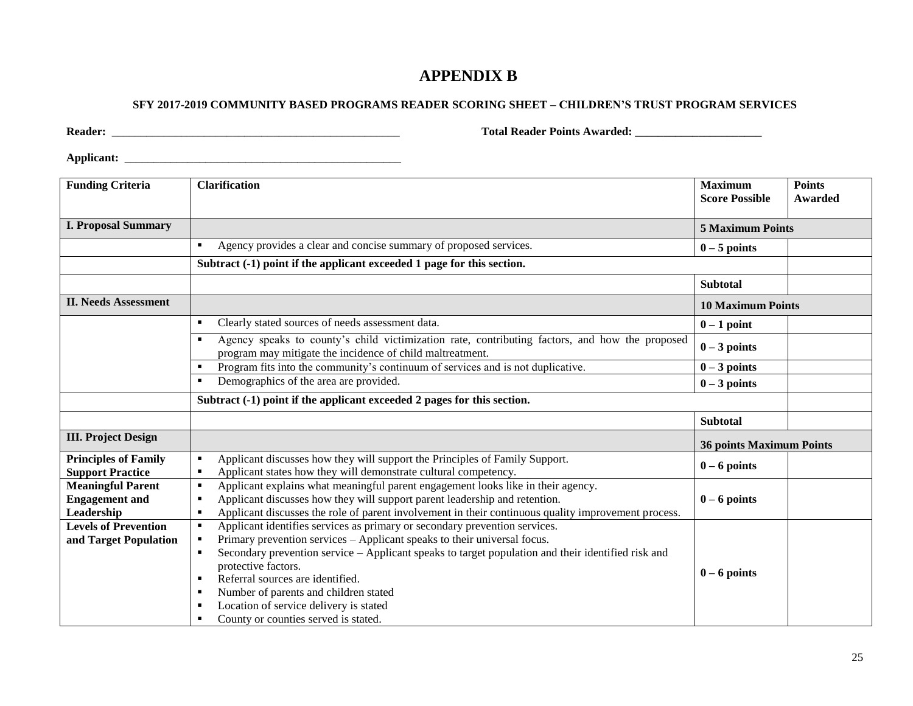## **APPENDIX B**

#### **SFY 2017-2019 COMMUNITY BASED PROGRAMS READER SCORING SHEET – CHILDREN'S TRUST PROGRAM SERVICES**

**Reader:** \_\_\_\_\_\_\_\_\_\_\_\_\_\_\_\_\_\_\_\_\_\_\_\_\_\_\_\_\_\_\_\_\_\_\_\_\_\_\_\_\_\_\_\_\_\_\_\_\_\_ **Total Reader Points Awarded: \_\_\_\_\_\_\_\_\_\_\_\_\_\_\_\_\_\_\_\_\_\_**

**Applicant:** \_\_\_\_\_\_\_\_\_\_\_\_\_\_\_\_\_\_\_\_\_\_\_\_\_\_\_\_\_\_\_\_\_\_\_\_\_\_\_\_\_\_\_\_\_\_\_\_

| <b>Funding Criteria</b>                                         | <b>Clarification</b>                                                                                                                                                                                                                                                                                                                                                                                                                                              | <b>Maximum</b><br><b>Score Possible</b> | <b>Points</b><br><b>Awarded</b> |  |  |  |  |
|-----------------------------------------------------------------|-------------------------------------------------------------------------------------------------------------------------------------------------------------------------------------------------------------------------------------------------------------------------------------------------------------------------------------------------------------------------------------------------------------------------------------------------------------------|-----------------------------------------|---------------------------------|--|--|--|--|
| <b>I. Proposal Summary</b>                                      | <b>5 Maximum Points</b>                                                                                                                                                                                                                                                                                                                                                                                                                                           |                                         |                                 |  |  |  |  |
|                                                                 | Agency provides a clear and concise summary of proposed services.<br>٠                                                                                                                                                                                                                                                                                                                                                                                            | $0 - 5$ points                          |                                 |  |  |  |  |
|                                                                 | Subtract (-1) point if the applicant exceeded 1 page for this section.                                                                                                                                                                                                                                                                                                                                                                                            |                                         |                                 |  |  |  |  |
|                                                                 |                                                                                                                                                                                                                                                                                                                                                                                                                                                                   | <b>Subtotal</b>                         |                                 |  |  |  |  |
| <b>II. Needs Assessment</b>                                     |                                                                                                                                                                                                                                                                                                                                                                                                                                                                   | <b>10 Maximum Points</b>                |                                 |  |  |  |  |
|                                                                 | Clearly stated sources of needs assessment data.<br>٠                                                                                                                                                                                                                                                                                                                                                                                                             | $0-1$ point                             |                                 |  |  |  |  |
|                                                                 | Agency speaks to county's child victimization rate, contributing factors, and how the proposed<br>٠<br>program may mitigate the incidence of child maltreatment.                                                                                                                                                                                                                                                                                                  | $0 - 3$ points                          |                                 |  |  |  |  |
|                                                                 | Program fits into the community's continuum of services and is not duplicative.                                                                                                                                                                                                                                                                                                                                                                                   | $0 - 3$ points                          |                                 |  |  |  |  |
|                                                                 | Demographics of the area are provided.                                                                                                                                                                                                                                                                                                                                                                                                                            | $0 - 3$ points                          |                                 |  |  |  |  |
|                                                                 | Subtract (-1) point if the applicant exceeded 2 pages for this section.                                                                                                                                                                                                                                                                                                                                                                                           |                                         |                                 |  |  |  |  |
|                                                                 |                                                                                                                                                                                                                                                                                                                                                                                                                                                                   | <b>Subtotal</b>                         |                                 |  |  |  |  |
| <b>III. Project Design</b>                                      |                                                                                                                                                                                                                                                                                                                                                                                                                                                                   | <b>36 points Maximum Points</b>         |                                 |  |  |  |  |
| <b>Principles of Family</b><br><b>Support Practice</b>          | Applicant discusses how they will support the Principles of Family Support.<br>٠<br>Applicant states how they will demonstrate cultural competency.<br>٠                                                                                                                                                                                                                                                                                                          | $0 - 6$ points                          |                                 |  |  |  |  |
| <b>Meaningful Parent</b><br><b>Engagement</b> and<br>Leadership | Applicant explains what meaningful parent engagement looks like in their agency.<br>$\blacksquare$<br>Applicant discusses how they will support parent leadership and retention.<br>▪<br>Applicant discusses the role of parent involvement in their continuous quality improvement process.<br>٠                                                                                                                                                                 | $0 - 6$ points                          |                                 |  |  |  |  |
| <b>Levels of Prevention</b><br>and Target Population            | Applicant identifies services as primary or secondary prevention services.<br>٠<br>Primary prevention services – Applicant speaks to their universal focus.<br>٠<br>Secondary prevention service – Applicant speaks to target population and their identified risk and<br>٠<br>protective factors.<br>Referral sources are identified.<br>Number of parents and children stated<br>Location of service delivery is stated<br>County or counties served is stated. | $0 - 6$ points                          |                                 |  |  |  |  |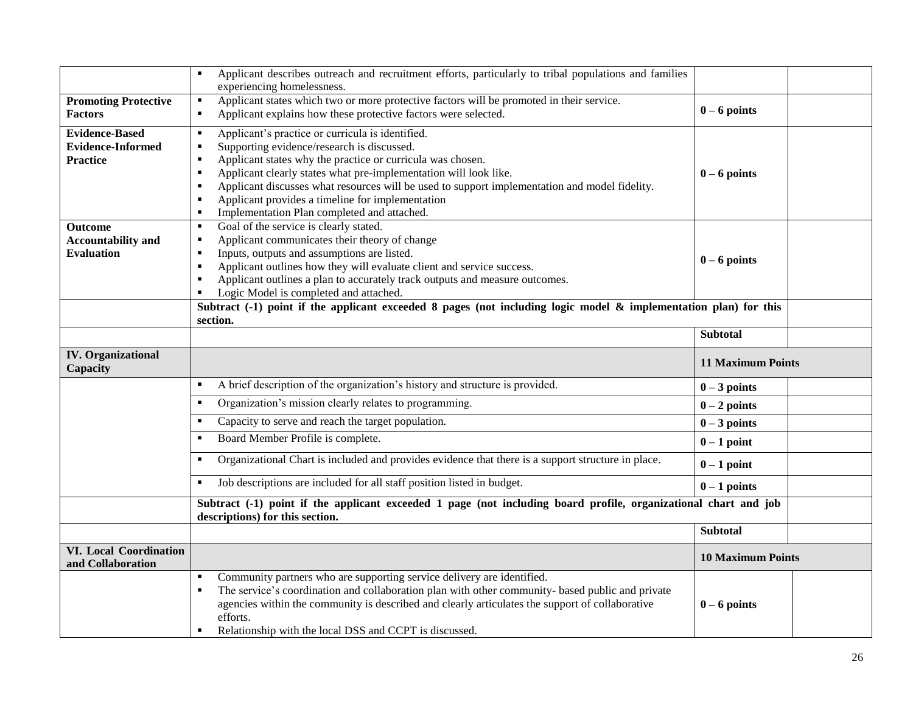|                                                    | Applicant describes outreach and recruitment efforts, particularly to tribal populations and families              |                          |  |
|----------------------------------------------------|--------------------------------------------------------------------------------------------------------------------|--------------------------|--|
|                                                    | experiencing homelessness.                                                                                         |                          |  |
| <b>Promoting Protective</b>                        | Applicant states which two or more protective factors will be promoted in their service.<br>٠                      | $0 - 6$ points           |  |
| <b>Factors</b>                                     | Applicant explains how these protective factors were selected.<br>٠                                                |                          |  |
| <b>Evidence-Based</b>                              | Applicant's practice or curricula is identified.<br>٠                                                              |                          |  |
| <b>Evidence-Informed</b>                           | Supporting evidence/research is discussed.<br>٠                                                                    |                          |  |
| <b>Practice</b>                                    | Applicant states why the practice or curricula was chosen.<br>٠                                                    |                          |  |
|                                                    | Applicant clearly states what pre-implementation will look like.                                                   | $0 - 6$ points           |  |
|                                                    | Applicant discusses what resources will be used to support implementation and model fidelity.                      |                          |  |
|                                                    | Applicant provides a timeline for implementation<br>$\blacksquare$<br>٠                                            |                          |  |
|                                                    | Implementation Plan completed and attached.<br>Goal of the service is clearly stated.<br>٠                         |                          |  |
| <b>Outcome</b><br><b>Accountability and</b>        | Applicant communicates their theory of change<br>$\blacksquare$                                                    |                          |  |
| <b>Evaluation</b>                                  | Inputs, outputs and assumptions are listed.<br>٠                                                                   |                          |  |
|                                                    | Applicant outlines how they will evaluate client and service success.                                              | $0 - 6$ points           |  |
|                                                    | Applicant outlines a plan to accurately track outputs and measure outcomes.                                        |                          |  |
|                                                    | Logic Model is completed and attached.                                                                             |                          |  |
|                                                    | Subtract $(-1)$ point if the applicant exceeded 8 pages (not including logic model & implementation plan) for this |                          |  |
|                                                    | section.                                                                                                           |                          |  |
|                                                    |                                                                                                                    | <b>Subtotal</b>          |  |
| <b>IV.</b> Organizational<br>Capacity              |                                                                                                                    | <b>11 Maximum Points</b> |  |
|                                                    | A brief description of the organization's history and structure is provided.<br>٠                                  | $0 - 3$ points           |  |
|                                                    | Organization's mission clearly relates to programming.<br>٠                                                        | $0 - 2$ points           |  |
|                                                    | Capacity to serve and reach the target population.                                                                 | $0 - 3$ points           |  |
|                                                    |                                                                                                                    |                          |  |
|                                                    | Board Member Profile is complete.<br>٠                                                                             | $0 - 1$ point            |  |
|                                                    | Organizational Chart is included and provides evidence that there is a support structure in place.                 | $0-1$ point              |  |
|                                                    | Job descriptions are included for all staff position listed in budget.                                             | $0 - 1$ points           |  |
|                                                    | Subtract (-1) point if the applicant exceeded 1 page (not including board profile, organizational chart and job    |                          |  |
|                                                    | descriptions) for this section.                                                                                    |                          |  |
|                                                    |                                                                                                                    | <b>Subtotal</b>          |  |
| <b>VI. Local Coordination</b><br>and Collaboration | Community partners who are supporting service delivery are identified.                                             | <b>10 Maximum Points</b> |  |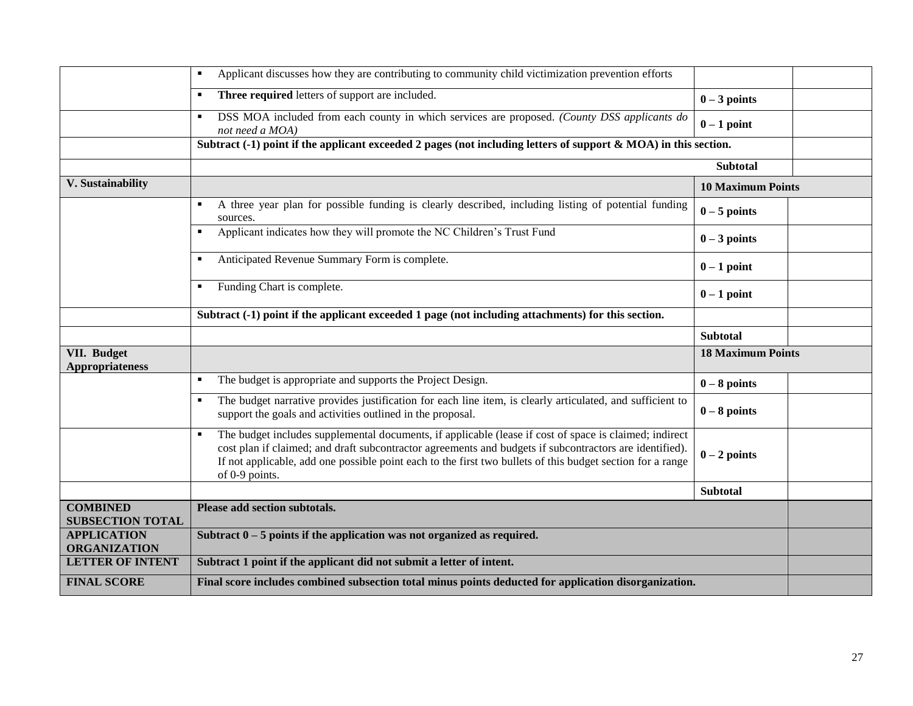|                                              | Applicant discusses how they are contributing to community child victimization prevention efforts                                                                                                                                                                                                                                                 |                          |  |
|----------------------------------------------|---------------------------------------------------------------------------------------------------------------------------------------------------------------------------------------------------------------------------------------------------------------------------------------------------------------------------------------------------|--------------------------|--|
|                                              | Three required letters of support are included.<br>л.                                                                                                                                                                                                                                                                                             | $0 - 3$ points           |  |
|                                              | DSS MOA included from each county in which services are proposed. (County DSS applicants do<br>٠<br>not need a MOA)                                                                                                                                                                                                                               | $0-1$ point              |  |
|                                              | Subtract $(-1)$ point if the applicant exceeded 2 pages (not including letters of support & MOA) in this section.                                                                                                                                                                                                                                 |                          |  |
|                                              |                                                                                                                                                                                                                                                                                                                                                   | <b>Subtotal</b>          |  |
| V. Sustainability                            |                                                                                                                                                                                                                                                                                                                                                   | <b>10 Maximum Points</b> |  |
|                                              | A three year plan for possible funding is clearly described, including listing of potential funding<br>٠<br>sources.                                                                                                                                                                                                                              | $0-5$ points             |  |
|                                              | Applicant indicates how they will promote the NC Children's Trust Fund                                                                                                                                                                                                                                                                            | $0 - 3$ points           |  |
|                                              | Anticipated Revenue Summary Form is complete.                                                                                                                                                                                                                                                                                                     | $0-1$ point              |  |
|                                              | Funding Chart is complete.                                                                                                                                                                                                                                                                                                                        | $0-1$ point              |  |
|                                              | Subtract (-1) point if the applicant exceeded 1 page (not including attachments) for this section.                                                                                                                                                                                                                                                |                          |  |
|                                              |                                                                                                                                                                                                                                                                                                                                                   | <b>Subtotal</b>          |  |
| <b>VII. Budget</b><br><b>Appropriateness</b> |                                                                                                                                                                                                                                                                                                                                                   | <b>18 Maximum Points</b> |  |
|                                              | The budget is appropriate and supports the Project Design.<br>٠                                                                                                                                                                                                                                                                                   | $0 - 8$ points           |  |
|                                              | The budget narrative provides justification for each line item, is clearly articulated, and sufficient to<br>support the goals and activities outlined in the proposal.                                                                                                                                                                           | $0 - 8$ points           |  |
|                                              | The budget includes supplemental documents, if applicable (lease if cost of space is claimed; indirect<br>cost plan if claimed; and draft subcontractor agreements and budgets if subcontractors are identified).<br>If not applicable, add one possible point each to the first two bullets of this budget section for a range<br>of 0-9 points. | $0 - 2$ points           |  |
|                                              |                                                                                                                                                                                                                                                                                                                                                   | <b>Subtotal</b>          |  |
| <b>COMBINED</b><br><b>SUBSECTION TOTAL</b>   | Please add section subtotals.                                                                                                                                                                                                                                                                                                                     |                          |  |
| <b>APPLICATION</b><br><b>ORGANIZATION</b>    | Subtract $0 - 5$ points if the application was not organized as required.                                                                                                                                                                                                                                                                         |                          |  |
| <b>LETTER OF INTENT</b>                      | Subtract 1 point if the applicant did not submit a letter of intent.                                                                                                                                                                                                                                                                              |                          |  |
| <b>FINAL SCORE</b>                           | Final score includes combined subsection total minus points deducted for application disorganization.                                                                                                                                                                                                                                             |                          |  |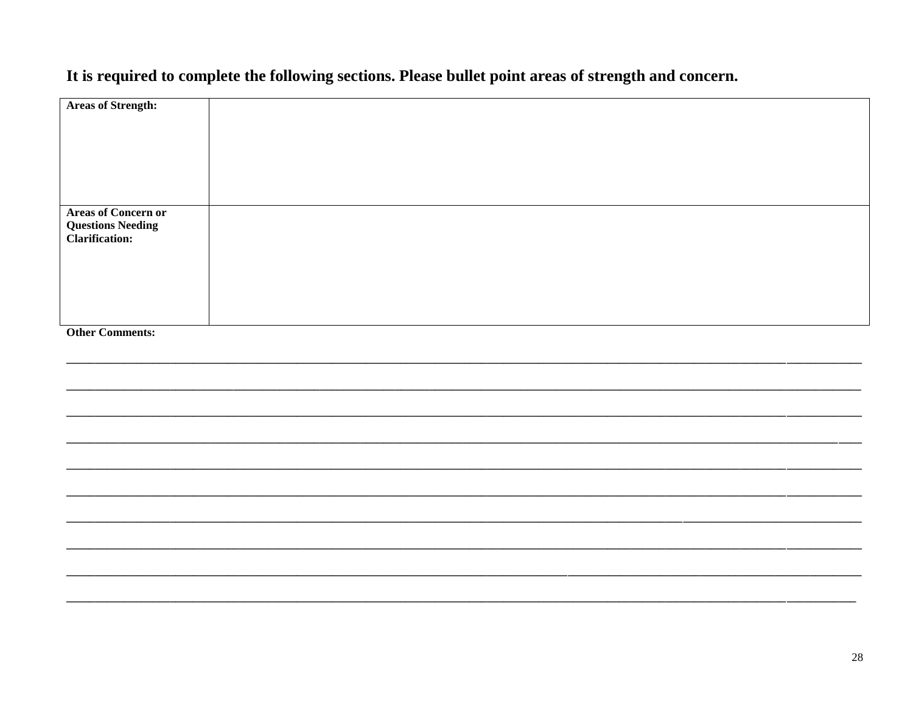# It is required to complete the following sections. Please bullet point areas of strength and concern.

| <b>Areas of Strength:</b>                                                 |  |  |
|---------------------------------------------------------------------------|--|--|
|                                                                           |  |  |
|                                                                           |  |  |
| <b>Areas of Concern or</b><br><b>Questions Needing<br/>Clarification:</b> |  |  |
|                                                                           |  |  |
|                                                                           |  |  |
| <b>Other Comments:</b>                                                    |  |  |
|                                                                           |  |  |
|                                                                           |  |  |
|                                                                           |  |  |
|                                                                           |  |  |
|                                                                           |  |  |
|                                                                           |  |  |
|                                                                           |  |  |
|                                                                           |  |  |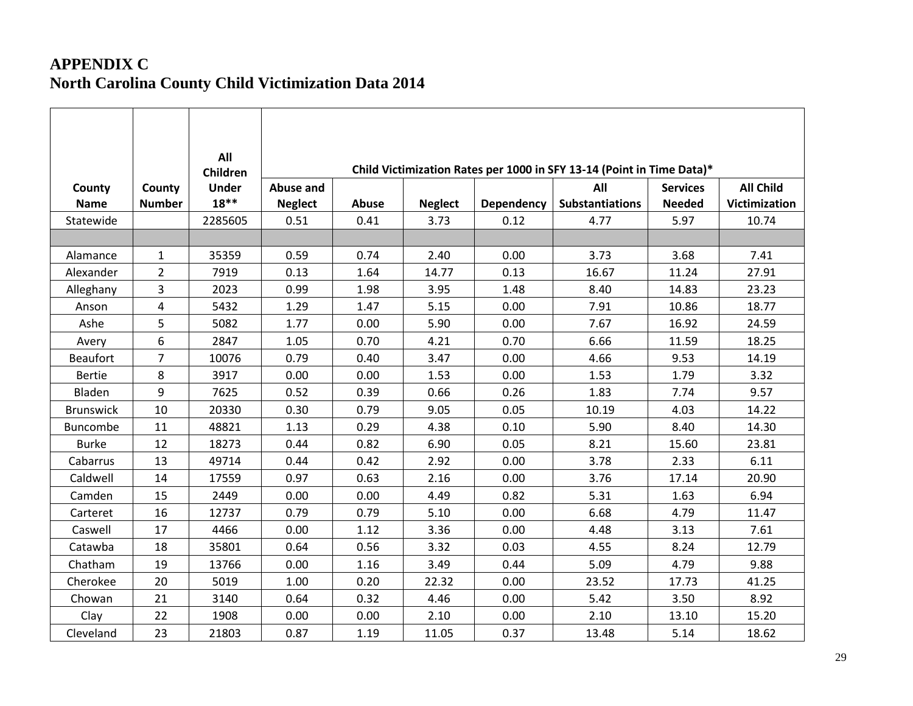# **APPENDIX C North Carolina County Child Victimization Data 2014**

|                       |                         | All                         |                                    |              |                |            | Child Victimization Rates per 1000 in SFY 13-14 (Point in Time Data)* |                                  |                                          |
|-----------------------|-------------------------|-----------------------------|------------------------------------|--------------|----------------|------------|-----------------------------------------------------------------------|----------------------------------|------------------------------------------|
| County<br><b>Name</b> | County<br><b>Number</b> | Children<br>Under<br>$18**$ | <b>Abuse and</b><br><b>Neglect</b> | <b>Abuse</b> | <b>Neglect</b> | Dependency | All<br><b>Substantiations</b>                                         | <b>Services</b><br><b>Needed</b> | <b>All Child</b><br><b>Victimization</b> |
| Statewide             |                         | 2285605                     | 0.51                               | 0.41         | 3.73           | 0.12       | 4.77                                                                  | 5.97                             | 10.74                                    |
|                       |                         |                             |                                    |              |                |            |                                                                       |                                  |                                          |
| Alamance              | $\mathbf{1}$            | 35359                       | 0.59                               | 0.74         | 2.40           | 0.00       | 3.73                                                                  | 3.68                             | 7.41                                     |
| Alexander             | $\overline{2}$          | 7919                        | 0.13                               | 1.64         | 14.77          | 0.13       | 16.67                                                                 | 11.24                            | 27.91                                    |
| Alleghany             | 3                       | 2023                        | 0.99                               | 1.98         | 3.95           | 1.48       | 8.40                                                                  | 14.83                            | 23.23                                    |
| Anson                 | $\overline{4}$          | 5432                        | 1.29                               | 1.47         | 5.15           | 0.00       | 7.91                                                                  | 10.86                            | 18.77                                    |
| Ashe                  | 5                       | 5082                        | 1.77                               | 0.00         | 5.90           | 0.00       | 7.67                                                                  | 16.92                            | 24.59                                    |
| Avery                 | 6                       | 2847                        | 1.05                               | 0.70         | 4.21           | 0.70       | 6.66                                                                  | 11.59                            | 18.25                                    |
| <b>Beaufort</b>       | 7                       | 10076                       | 0.79                               | 0.40         | 3.47           | 0.00       | 4.66                                                                  | 9.53                             | 14.19                                    |
| <b>Bertie</b>         | 8                       | 3917                        | 0.00                               | 0.00         | 1.53           | 0.00       | 1.53                                                                  | 1.79                             | 3.32                                     |
| Bladen                | 9                       | 7625                        | 0.52                               | 0.39         | 0.66           | 0.26       | 1.83                                                                  | 7.74                             | 9.57                                     |
| <b>Brunswick</b>      | 10                      | 20330                       | 0.30                               | 0.79         | 9.05           | 0.05       | 10.19                                                                 | 4.03                             | 14.22                                    |
| Buncombe              | 11                      | 48821                       | 1.13                               | 0.29         | 4.38           | 0.10       | 5.90                                                                  | 8.40                             | 14.30                                    |
| <b>Burke</b>          | 12                      | 18273                       | 0.44                               | 0.82         | 6.90           | 0.05       | 8.21                                                                  | 15.60                            | 23.81                                    |
| Cabarrus              | 13                      | 49714                       | 0.44                               | 0.42         | 2.92           | 0.00       | 3.78                                                                  | 2.33                             | 6.11                                     |
| Caldwell              | 14                      | 17559                       | 0.97                               | 0.63         | 2.16           | 0.00       | 3.76                                                                  | 17.14                            | 20.90                                    |
| Camden                | 15                      | 2449                        | 0.00                               | 0.00         | 4.49           | 0.82       | 5.31                                                                  | 1.63                             | 6.94                                     |
| Carteret              | 16                      | 12737                       | 0.79                               | 0.79         | 5.10           | 0.00       | 6.68                                                                  | 4.79                             | 11.47                                    |
| Caswell               | 17                      | 4466                        | 0.00                               | 1.12         | 3.36           | 0.00       | 4.48                                                                  | 3.13                             | 7.61                                     |
| Catawba               | 18                      | 35801                       | 0.64                               | 0.56         | 3.32           | 0.03       | 4.55                                                                  | 8.24                             | 12.79                                    |
| Chatham               | 19                      | 13766                       | 0.00                               | 1.16         | 3.49           | 0.44       | 5.09                                                                  | 4.79                             | 9.88                                     |
| Cherokee              | 20                      | 5019                        | 1.00                               | 0.20         | 22.32          | 0.00       | 23.52                                                                 | 17.73                            | 41.25                                    |
| Chowan                | 21                      | 3140                        | 0.64                               | 0.32         | 4.46           | 0.00       | 5.42                                                                  | 3.50                             | 8.92                                     |
| Clay                  | 22                      | 1908                        | 0.00                               | 0.00         | 2.10           | 0.00       | 2.10                                                                  | 13.10                            | 15.20                                    |
| Cleveland             | 23                      | 21803                       | 0.87                               | 1.19         | 11.05          | 0.37       | 13.48                                                                 | 5.14                             | 18.62                                    |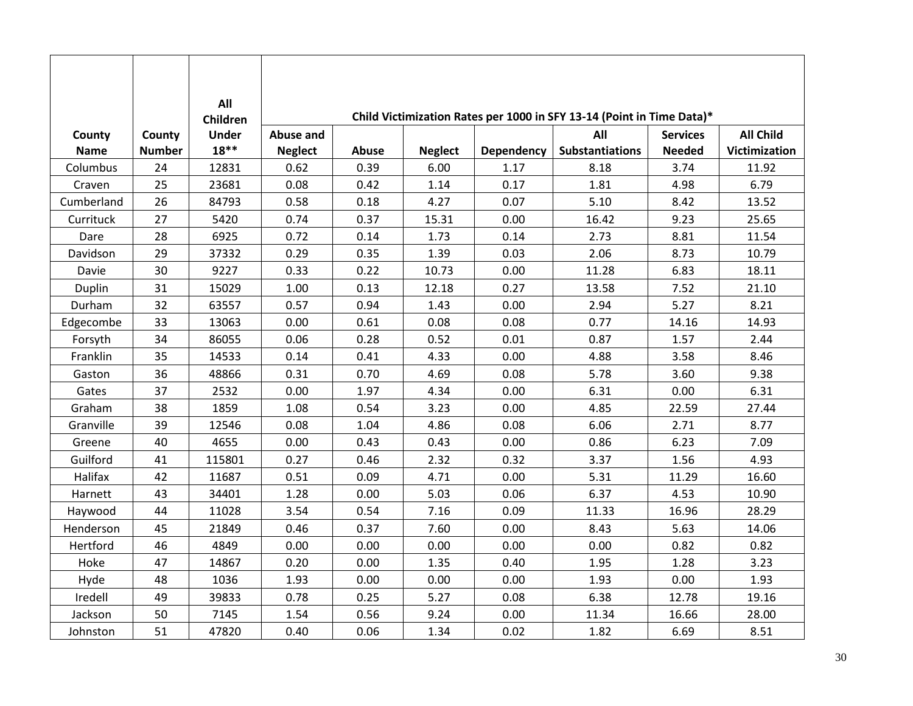|             |               | All<br>Children |                  |       |                |                   | Child Victimization Rates per 1000 in SFY 13-14 (Point in Time Data)* |                 |                  |
|-------------|---------------|-----------------|------------------|-------|----------------|-------------------|-----------------------------------------------------------------------|-----------------|------------------|
| County      | County        | <b>Under</b>    | <b>Abuse and</b> |       |                |                   | All                                                                   | <b>Services</b> | <b>All Child</b> |
| <b>Name</b> | <b>Number</b> | $18**$          | <b>Neglect</b>   | Abuse | <b>Neglect</b> | <b>Dependency</b> | <b>Substantiations</b>                                                | <b>Needed</b>   | Victimization    |
| Columbus    | 24            | 12831           | 0.62             | 0.39  | 6.00           | 1.17              | 8.18                                                                  | 3.74            | 11.92            |
| Craven      | 25            | 23681           | 0.08             | 0.42  | 1.14           | 0.17              | 1.81                                                                  | 4.98            | 6.79             |
| Cumberland  | 26            | 84793           | 0.58             | 0.18  | 4.27           | 0.07              | 5.10                                                                  | 8.42            | 13.52            |
| Currituck   | 27            | 5420            | 0.74             | 0.37  | 15.31          | 0.00              | 16.42                                                                 | 9.23            | 25.65            |
| Dare        | 28            | 6925            | 0.72             | 0.14  | 1.73           | 0.14              | 2.73                                                                  | 8.81            | 11.54            |
| Davidson    | 29            | 37332           | 0.29             | 0.35  | 1.39           | 0.03              | 2.06                                                                  | 8.73            | 10.79            |
| Davie       | 30            | 9227            | 0.33             | 0.22  | 10.73          | 0.00              | 11.28                                                                 | 6.83            | 18.11            |
| Duplin      | 31            | 15029           | 1.00             | 0.13  | 12.18          | 0.27              | 13.58                                                                 | 7.52            | 21.10            |
| Durham      | 32            | 63557           | 0.57             | 0.94  | 1.43           | 0.00              | 2.94                                                                  | 5.27            | 8.21             |
| Edgecombe   | 33            | 13063           | 0.00             | 0.61  | 0.08           | 0.08              | 0.77                                                                  | 14.16           | 14.93            |
| Forsyth     | 34            | 86055           | 0.06             | 0.28  | 0.52           | 0.01              | 0.87                                                                  | 1.57            | 2.44             |
| Franklin    | 35            | 14533           | 0.14             | 0.41  | 4.33           | 0.00              | 4.88                                                                  | 3.58            | 8.46             |
| Gaston      | 36            | 48866           | 0.31             | 0.70  | 4.69           | 0.08              | 5.78                                                                  | 3.60            | 9.38             |
| Gates       | 37            | 2532            | 0.00             | 1.97  | 4.34           | 0.00              | 6.31                                                                  | 0.00            | 6.31             |
| Graham      | 38            | 1859            | 1.08             | 0.54  | 3.23           | 0.00              | 4.85                                                                  | 22.59           | 27.44            |
| Granville   | 39            | 12546           | 0.08             | 1.04  | 4.86           | 0.08              | 6.06                                                                  | 2.71            | 8.77             |
| Greene      | 40            | 4655            | 0.00             | 0.43  | 0.43           | 0.00              | 0.86                                                                  | 6.23            | 7.09             |
| Guilford    | 41            | 115801          | 0.27             | 0.46  | 2.32           | 0.32              | 3.37                                                                  | 1.56            | 4.93             |
| Halifax     | 42            | 11687           | 0.51             | 0.09  | 4.71           | 0.00              | 5.31                                                                  | 11.29           | 16.60            |
| Harnett     | 43            | 34401           | 1.28             | 0.00  | 5.03           | 0.06              | 6.37                                                                  | 4.53            | 10.90            |
| Haywood     | 44            | 11028           | 3.54             | 0.54  | 7.16           | 0.09              | 11.33                                                                 | 16.96           | 28.29            |
| Henderson   | 45            | 21849           | 0.46             | 0.37  | 7.60           | 0.00              | 8.43                                                                  | 5.63            | 14.06            |
| Hertford    | 46            | 4849            | 0.00             | 0.00  | 0.00           | 0.00              | 0.00                                                                  | 0.82            | 0.82             |
| Hoke        | 47            | 14867           | 0.20             | 0.00  | 1.35           | 0.40              | 1.95                                                                  | 1.28            | 3.23             |
| Hyde        | 48            | 1036            | 1.93             | 0.00  | 0.00           | 0.00              | 1.93                                                                  | 0.00            | 1.93             |
| Iredell     | 49            | 39833           | 0.78             | 0.25  | 5.27           | 0.08              | 6.38                                                                  | 12.78           | 19.16            |
| Jackson     | 50            | 7145            | 1.54             | 0.56  | 9.24           | 0.00              | 11.34                                                                 | 16.66           | 28.00            |
| Johnston    | 51            | 47820           | 0.40             | 0.06  | 1.34           | 0.02              | 1.82                                                                  | 6.69            | 8.51             |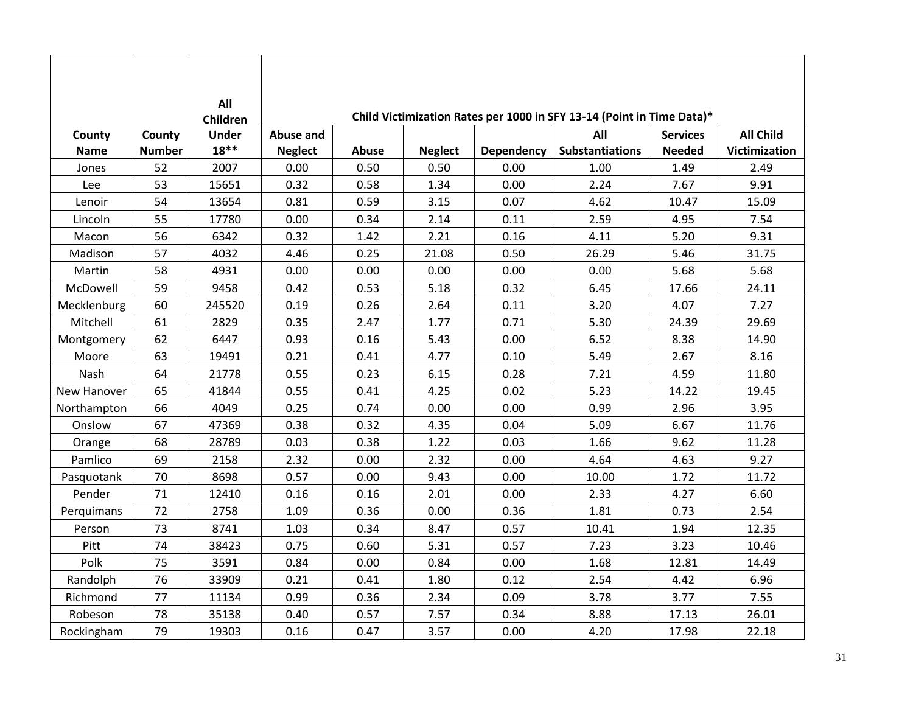|             |               | All<br>Children |                |       |                |                   | Child Victimization Rates per 1000 in SFY 13-14 (Point in Time Data)* |                 |                      |
|-------------|---------------|-----------------|----------------|-------|----------------|-------------------|-----------------------------------------------------------------------|-----------------|----------------------|
| County      | County        | <b>Under</b>    | Abuse and      |       |                |                   | All                                                                   | <b>Services</b> | <b>All Child</b>     |
| <b>Name</b> | <b>Number</b> | $18**$          | <b>Neglect</b> | Abuse | <b>Neglect</b> | <b>Dependency</b> | <b>Substantiations</b>                                                | <b>Needed</b>   | <b>Victimization</b> |
| Jones       | 52            | 2007            | 0.00           | 0.50  | 0.50           | 0.00              | 1.00                                                                  | 1.49            | 2.49                 |
| Lee         | 53            | 15651           | 0.32           | 0.58  | 1.34           | 0.00              | 2.24                                                                  | 7.67            | 9.91                 |
| Lenoir      | 54            | 13654           | 0.81           | 0.59  | 3.15           | 0.07              | 4.62                                                                  | 10.47           | 15.09                |
| Lincoln     | 55            | 17780           | 0.00           | 0.34  | 2.14           | 0.11              | 2.59                                                                  | 4.95            | 7.54                 |
| Macon       | 56            | 6342            | 0.32           | 1.42  | 2.21           | 0.16              | 4.11                                                                  | 5.20            | 9.31                 |
| Madison     | 57            | 4032            | 4.46           | 0.25  | 21.08          | 0.50              | 26.29                                                                 | 5.46            | 31.75                |
| Martin      | 58            | 4931            | 0.00           | 0.00  | 0.00           | 0.00              | 0.00                                                                  | 5.68            | 5.68                 |
| McDowell    | 59            | 9458            | 0.42           | 0.53  | 5.18           | 0.32              | 6.45                                                                  | 17.66           | 24.11                |
| Mecklenburg | 60            | 245520          | 0.19           | 0.26  | 2.64           | 0.11              | 3.20                                                                  | 4.07            | 7.27                 |
| Mitchell    | 61            | 2829            | 0.35           | 2.47  | 1.77           | 0.71              | 5.30                                                                  | 24.39           | 29.69                |
| Montgomery  | 62            | 6447            | 0.93           | 0.16  | 5.43           | 0.00              | 6.52                                                                  | 8.38            | 14.90                |
| Moore       | 63            | 19491           | 0.21           | 0.41  | 4.77           | 0.10              | 5.49                                                                  | 2.67            | 8.16                 |
| Nash        | 64            | 21778           | 0.55           | 0.23  | 6.15           | 0.28              | 7.21                                                                  | 4.59            | 11.80                |
| New Hanover | 65            | 41844           | 0.55           | 0.41  | 4.25           | 0.02              | 5.23                                                                  | 14.22           | 19.45                |
| Northampton | 66            | 4049            | 0.25           | 0.74  | 0.00           | 0.00              | 0.99                                                                  | 2.96            | 3.95                 |
| Onslow      | 67            | 47369           | 0.38           | 0.32  | 4.35           | 0.04              | 5.09                                                                  | 6.67            | 11.76                |
| Orange      | 68            | 28789           | 0.03           | 0.38  | 1.22           | 0.03              | 1.66                                                                  | 9.62            | 11.28                |
| Pamlico     | 69            | 2158            | 2.32           | 0.00  | 2.32           | 0.00              | 4.64                                                                  | 4.63            | 9.27                 |
| Pasquotank  | 70            | 8698            | 0.57           | 0.00  | 9.43           | 0.00              | 10.00                                                                 | 1.72            | 11.72                |
| Pender      | 71            | 12410           | 0.16           | 0.16  | 2.01           | 0.00              | 2.33                                                                  | 4.27            | 6.60                 |
| Perquimans  | 72            | 2758            | 1.09           | 0.36  | 0.00           | 0.36              | 1.81                                                                  | 0.73            | 2.54                 |
| Person      | 73            | 8741            | 1.03           | 0.34  | 8.47           | 0.57              | 10.41                                                                 | 1.94            | 12.35                |
| Pitt        | 74            | 38423           | 0.75           | 0.60  | 5.31           | 0.57              | 7.23                                                                  | 3.23            | 10.46                |
| Polk        | 75            | 3591            | 0.84           | 0.00  | 0.84           | 0.00              | 1.68                                                                  | 12.81           | 14.49                |
| Randolph    | 76            | 33909           | 0.21           | 0.41  | 1.80           | 0.12              | 2.54                                                                  | 4.42            | 6.96                 |
| Richmond    | 77            | 11134           | 0.99           | 0.36  | 2.34           | 0.09              | 3.78                                                                  | 3.77            | 7.55                 |
| Robeson     | 78            | 35138           | 0.40           | 0.57  | 7.57           | 0.34              | 8.88                                                                  | 17.13           | 26.01                |
| Rockingham  | 79            | 19303           | 0.16           | 0.47  | 3.57           | 0.00              | 4.20                                                                  | 17.98           | 22.18                |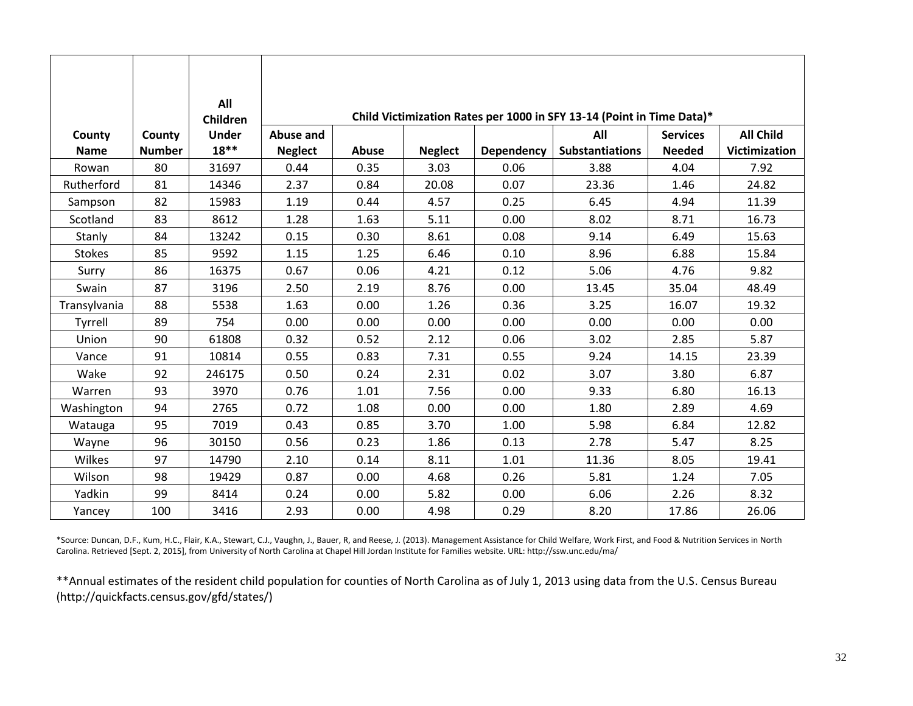|               |               | All<br>Children |                  |       |                |                   | Child Victimization Rates per 1000 in SFY 13-14 (Point in Time Data)* |                 |                  |
|---------------|---------------|-----------------|------------------|-------|----------------|-------------------|-----------------------------------------------------------------------|-----------------|------------------|
| County        | County        | <b>Under</b>    | <b>Abuse and</b> |       |                |                   | All                                                                   | <b>Services</b> | <b>All Child</b> |
| <b>Name</b>   | <b>Number</b> | $18**$          | <b>Neglect</b>   | Abuse | <b>Neglect</b> | <b>Dependency</b> | <b>Substantiations</b>                                                | <b>Needed</b>   | Victimization    |
| Rowan         | 80            | 31697           | 0.44             | 0.35  | 3.03           | 0.06              | 3.88                                                                  | 4.04            | 7.92             |
| Rutherford    | 81            | 14346           | 2.37             | 0.84  | 20.08          | 0.07              | 23.36                                                                 | 1.46            | 24.82            |
| Sampson       | 82            | 15983           | 1.19             | 0.44  | 4.57           | 0.25              | 6.45                                                                  | 4.94            | 11.39            |
| Scotland      | 83            | 8612            | 1.28             | 1.63  | 5.11           | 0.00              | 8.02                                                                  | 8.71            | 16.73            |
| Stanly        | 84            | 13242           | 0.15             | 0.30  | 8.61           | 0.08              | 9.14                                                                  | 6.49            | 15.63            |
| <b>Stokes</b> | 85            | 9592            | 1.15             | 1.25  | 6.46           | 0.10              | 8.96                                                                  | 6.88            | 15.84            |
| Surry         | 86            | 16375           | 0.67             | 0.06  | 4.21           | 0.12              | 5.06                                                                  | 4.76            | 9.82             |
| Swain         | 87            | 3196            | 2.50             | 2.19  | 8.76           | 0.00              | 13.45                                                                 | 35.04           | 48.49            |
| Transylvania  | 88            | 5538            | 1.63             | 0.00  | 1.26           | 0.36              | 3.25                                                                  | 16.07           | 19.32            |
| Tyrrell       | 89            | 754             | 0.00             | 0.00  | 0.00           | 0.00              | 0.00                                                                  | 0.00            | 0.00             |
| Union         | 90            | 61808           | 0.32             | 0.52  | 2.12           | 0.06              | 3.02                                                                  | 2.85            | 5.87             |
| Vance         | 91            | 10814           | 0.55             | 0.83  | 7.31           | 0.55              | 9.24                                                                  | 14.15           | 23.39            |
| Wake          | 92            | 246175          | 0.50             | 0.24  | 2.31           | 0.02              | 3.07                                                                  | 3.80            | 6.87             |
| Warren        | 93            | 3970            | 0.76             | 1.01  | 7.56           | 0.00              | 9.33                                                                  | 6.80            | 16.13            |
| Washington    | 94            | 2765            | 0.72             | 1.08  | 0.00           | 0.00              | 1.80                                                                  | 2.89            | 4.69             |
| Watauga       | 95            | 7019            | 0.43             | 0.85  | 3.70           | 1.00              | 5.98                                                                  | 6.84            | 12.82            |
| Wayne         | 96            | 30150           | 0.56             | 0.23  | 1.86           | 0.13              | 2.78                                                                  | 5.47            | 8.25             |
| Wilkes        | 97            | 14790           | 2.10             | 0.14  | 8.11           | 1.01              | 11.36                                                                 | 8.05            | 19.41            |
| Wilson        | 98            | 19429           | 0.87             | 0.00  | 4.68           | 0.26              | 5.81                                                                  | 1.24            | 7.05             |
| Yadkin        | 99            | 8414            | 0.24             | 0.00  | 5.82           | 0.00              | 6.06                                                                  | 2.26            | 8.32             |
| Yancey        | 100           | 3416            | 2.93             | 0.00  | 4.98           | 0.29              | 8.20                                                                  | 17.86           | 26.06            |

\*Source: Duncan, D.F., Kum, H.C., Flair, K.A., Stewart, C.J., Vaughn, J., Bauer, R, and Reese, J. (2013). Management Assistance for Child Welfare, Work First, and Food & Nutrition Services in North Carolina. Retrieved [Sept. 2, 2015], from University of North Carolina at Chapel Hill Jordan Institute for Families website. URL: http://ssw.unc.edu/ma/

\*\*Annual estimates of the resident child population for counties of North Carolina as of July 1, 2013 using data from the U.S. Census Bureau (http://quickfacts.census.gov/gfd/states/)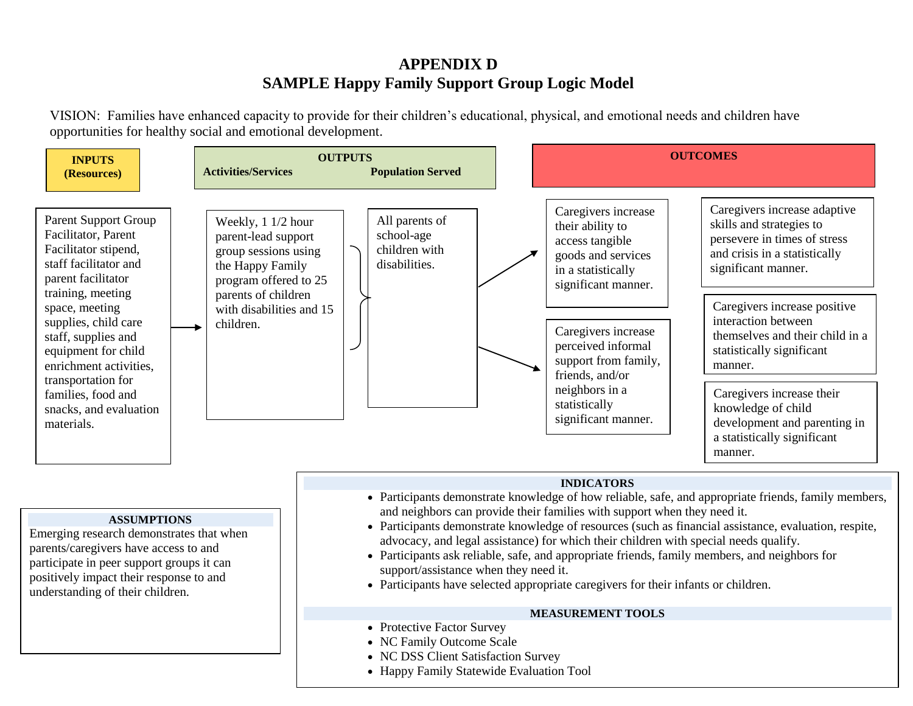# **APPENDIX D SAMPLE Happy Family Support Group Logic Model**

VISION: Families have enhanced capacity to provide for their children's educational, physical, and emotional needs and children have opportunities for healthy social and emotional development.

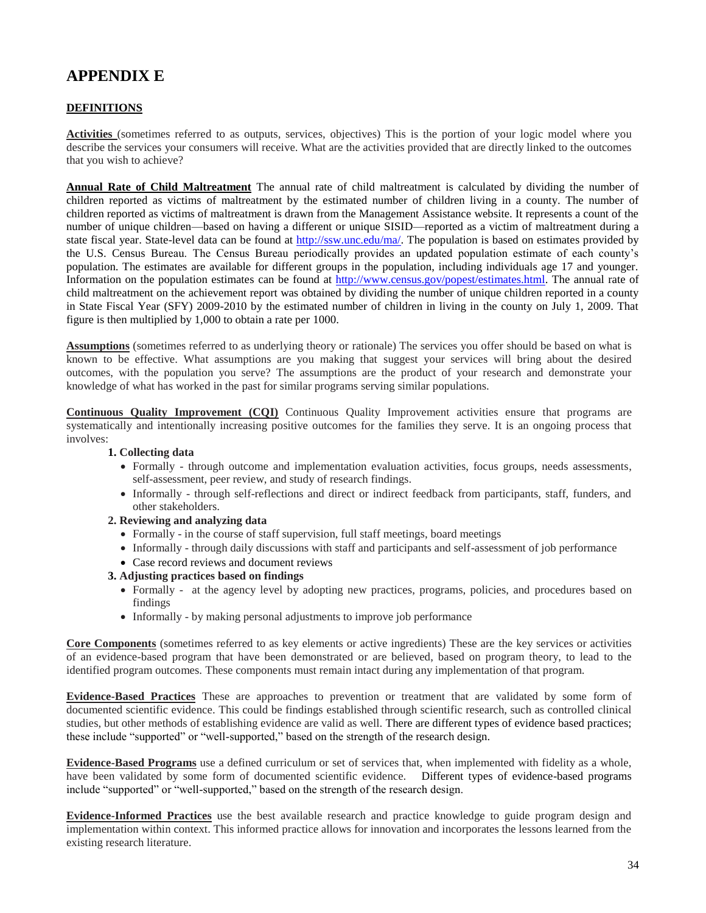# **APPENDIX E**

#### **DEFINITIONS**

**Activities** (sometimes referred to as outputs, services, objectives) This is the portion of your logic model where you describe the services your consumers will receive. What are the activities provided that are directly linked to the outcomes that you wish to achieve?

**Annual Rate of Child Maltreatment** The annual rate of child maltreatment is calculated by dividing the number of children reported as victims of maltreatment by the estimated number of children living in a county. The number of children reported as victims of maltreatment is drawn from the Management Assistance website. It represents a count of the number of unique children—based on having a different or unique SISID—reported as a victim of maltreatment during a state fiscal year. State-level data can be found at [http://ssw.unc.edu/ma/.](http://ssw.unc.edu/ma/) The population is based on estimates provided by the U.S. Census Bureau. The Census Bureau periodically provides an updated population estimate of each county's population. The estimates are available for different groups in the population, including individuals age 17 and younger. Information on the population estimates can be found at [http://www.census.gov/popest/estimates.html.](http://www.census.gov/popest/estimates.html) The annual rate of child maltreatment on the achievement report was obtained by dividing the number of unique children reported in a county in State Fiscal Year (SFY) 2009-2010 by the estimated number of children in living in the county on July 1, 2009. That figure is then multiplied by 1,000 to obtain a rate per 1000.

**Assumptions** (sometimes referred to as underlying theory or rationale) The services you offer should be based on what is known to be effective. What assumptions are you making that suggest your services will bring about the desired outcomes, with the population you serve? The assumptions are the product of your research and demonstrate your knowledge of what has worked in the past for similar programs serving similar populations.

**Continuous Quality Improvement (CQI)** Continuous Quality Improvement activities ensure that programs are systematically and intentionally increasing positive outcomes for the families they serve. It is an ongoing process that involves:

#### **1. Collecting data**

- Formally through outcome and implementation evaluation activities, focus groups, needs assessments, self-assessment, peer review, and study of research findings.
- Informally through self-reflections and direct or indirect feedback from participants, staff, funders, and other stakeholders.

#### **2. Reviewing and analyzing data**

- Formally in the course of staff supervision, full staff meetings, board meetings
- Informally through daily discussions with staff and participants and self-assessment of job performance
- Case record reviews and document reviews

#### **3. Adjusting practices based on findings**

- Formally at the agency level by adopting new practices, programs, policies, and procedures based on findings
- Informally by making personal adjustments to improve job performance

**Core Components** (sometimes referred to as key elements or active ingredients) These are the key services or activities of an evidence-based program that have been demonstrated or are believed, based on program theory, to lead to the identified program outcomes. These components must remain intact during any implementation of that program.

**Evidence-Based Practices** These are approaches to prevention or treatment that are validated by some form of documented scientific evidence. This could be findings established through scientific research, such as controlled clinical studies, but other methods of establishing evidence are valid as well. There are different types of evidence based practices; these include "supported" or "well-supported," based on the strength of the research design.

**Evidence-Based Programs** use a defined curriculum or set of services that, when implemented with fidelity as a whole, have been validated by some form of documented scientific evidence. Different types of evidence-based programs include "supported" or "well-supported," based on the strength of the research design.

**Evidence-Informed Practices** use the best available research and practice knowledge to guide program design and implementation within context. This informed practice allows for innovation and incorporates the lessons learned from the existing research literature.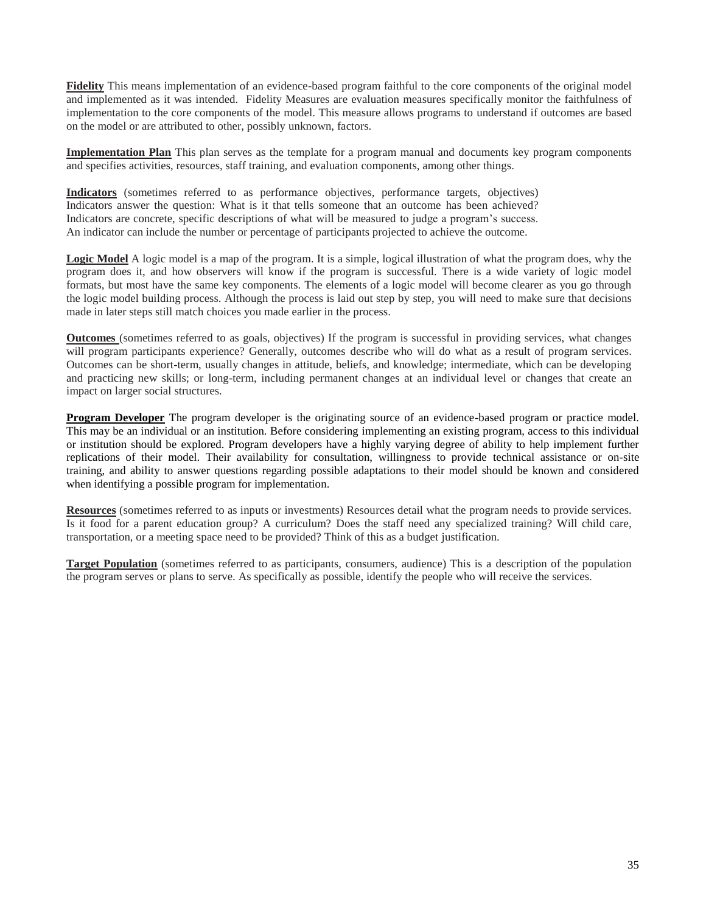**Fidelity** This means implementation of an evidence-based program faithful to the core components of the original model and implemented as it was intended. Fidelity Measures are evaluation measures specifically monitor the faithfulness of implementation to the core components of the model. This measure allows programs to understand if outcomes are based on the model or are attributed to other, possibly unknown, factors.

**Implementation Plan** This plan serves as the template for a program manual and documents key program components and specifies activities, resources, staff training, and evaluation components, among other things.

**Indicators** (sometimes referred to as performance objectives, performance targets, objectives) Indicators answer the question: What is it that tells someone that an outcome has been achieved? Indicators are concrete, specific descriptions of what will be measured to judge a program's success. An indicator can include the number or percentage of participants projected to achieve the outcome.

**Logic Model** A logic model is a map of the program. It is a simple, logical illustration of what the program does, why the program does it, and how observers will know if the program is successful. There is a wide variety of logic model formats, but most have the same key components. The elements of a logic model will become clearer as you go through the logic model building process. Although the process is laid out step by step, you will need to make sure that decisions made in later steps still match choices you made earlier in the process.

**Outcomes** (sometimes referred to as goals, objectives) If the program is successful in providing services, what changes will program participants experience? Generally, outcomes describe who will do what as a result of program services. Outcomes can be short-term, usually changes in attitude, beliefs, and knowledge; intermediate, which can be developing and practicing new skills; or long-term, including permanent changes at an individual level or changes that create an impact on larger social structures.

**Program Developer** The program developer is the originating source of an evidence-based program or practice model. This may be an individual or an institution. Before considering implementing an existing program, access to this individual or institution should be explored. Program developers have a highly varying degree of ability to help implement further replications of their model. Their availability for consultation, willingness to provide technical assistance or on-site training, and ability to answer questions regarding possible adaptations to their model should be known and considered when identifying a possible program for implementation.

**Resources** (sometimes referred to as inputs or investments) Resources detail what the program needs to provide services. Is it food for a parent education group? A curriculum? Does the staff need any specialized training? Will child care, transportation, or a meeting space need to be provided? Think of this as a budget justification.

**Target Population** (sometimes referred to as participants, consumers, audience) This is a description of the population the program serves or plans to serve. As specifically as possible, identify the people who will receive the services.